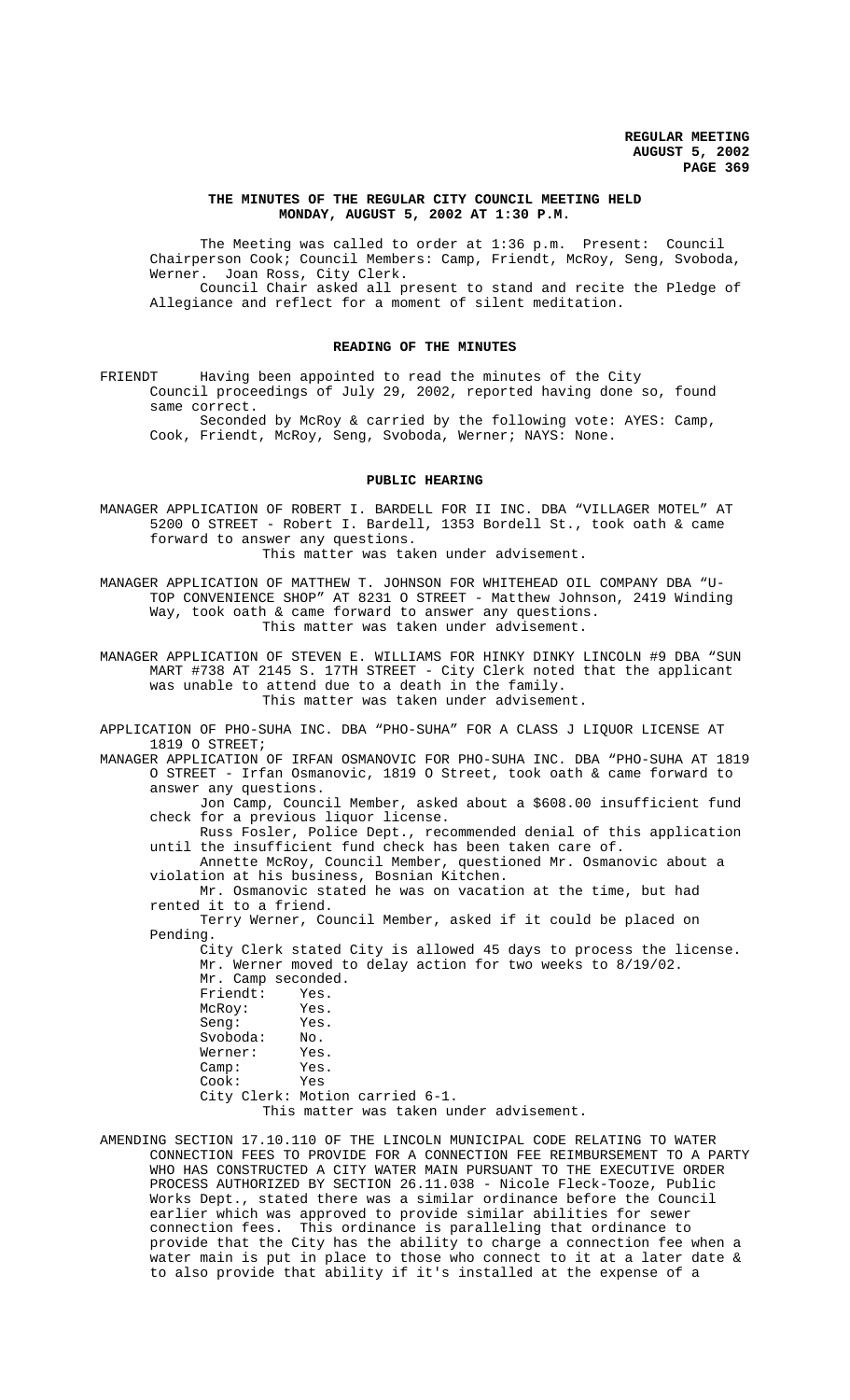## **THE MINUTES OF THE REGULAR CITY COUNCIL MEETING HELD MONDAY, AUGUST 5, 2002 AT 1:30 P.M.**

The Meeting was called to order at 1:36 p.m. Present: Council Chairperson Cook; Council Members: Camp, Friendt, McRoy, Seng, Svoboda, Werner. Joan Ross, City Clerk. Council Chair asked all present to stand and recite the Pledge of Allegiance and reflect for a moment of silent meditation.

### **READING OF THE MINUTES**

FRIENDT Having been appointed to read the minutes of the City Council proceedings of July 29, 2002, reported having done so, found same correct.

Seconded by McRoy & carried by the following vote: AYES: Camp, Cook, Friendt, McRoy, Seng, Svoboda, Werner; NAYS: None.

## **PUBLIC HEARING**

MANAGER APPLICATION OF ROBERT I. BARDELL FOR II INC. DBA "VILLAGER MOTEL" AT 5200 O STREET - Robert I. Bardell, 1353 Bordell St., took oath & came forward to answer any questions. This matter was taken under advisement.

MANAGER APPLICATION OF MATTHEW T. JOHNSON FOR WHITEHEAD OIL COMPANY DBA "U-TOP CONVENIENCE SHOP" AT 8231 O STREET - Matthew Johnson, 2419 Winding Way, took oath & came forward to answer any questions. This matter was taken under advisement.

MANAGER APPLICATION OF STEVEN E. WILLIAMS FOR HINKY DINKY LINCOLN #9 DBA "SUN MART #738 AT 2145 S. 17TH STREET - City Clerk noted that the applicant was unable to attend due to a death in the family. This matter was taken under advisement.

APPLICATION OF PHO-SUHA INC. DBA "PHO-SUHA" FOR A CLASS J LIQUOR LICENSE AT 1819 O STREET;

MANAGER APPLICATION OF IRFAN OSMANOVIC FOR PHO-SUHA INC. DBA "PHO-SUHA AT 1819 O STREET - Irfan Osmanovic, 1819 O Street, took oath & came forward to answer any questions.

Jon Camp, Council Member, asked about a \$608.00 insufficient fund check for a previous liquor license.

Russ Fosler, Police Dept., recommended denial of this application until the insufficient fund check has been taken care of.

Annette McRoy, Council Member, questioned Mr. Osmanovic about a violation at his business, Bosnian Kitchen.

Mr. Osmanovic stated he was on vacation at the time, but had rented it to a friend.

Terry Werner, Council Member, asked if it could be placed on Pending.

City Clerk stated City is allowed 45 days to process the license. Mr. Werner moved to delay action for two weeks to 8/19/02. Mr. Camp seconded.<br>Friendt: Yes. Friendt: Yes.<br>McRov: Yes. McRoy: Seng: Yes. Svoboda: No. Werner: Yes. Camp: Yes. Cook: Yes City Clerk: Motion carried 6-1. This matter was taken under advisement.

AMENDING SECTION 17.10.110 OF THE LINCOLN MUNICIPAL CODE RELATING TO WATER CONNECTION FEES TO PROVIDE FOR A CONNECTION FEE REIMBURSEMENT TO A PARTY WHO HAS CONSTRUCTED A CITY WATER MAIN PURSUANT TO THE EXECUTIVE ORDER PROCESS AUTHORIZED BY SECTION 26.11.038 - Nicole Fleck-Tooze, Public Works Dept., stated there was a similar ordinance before the Council earlier which was approved to provide similar abilities for sewer connection fees. This ordinance is paralleling that ordinance to provide that the City has the ability to charge a connection fee when a water main is put in place to those who connect to it at a later date & to also provide that ability if it's installed at the expense of a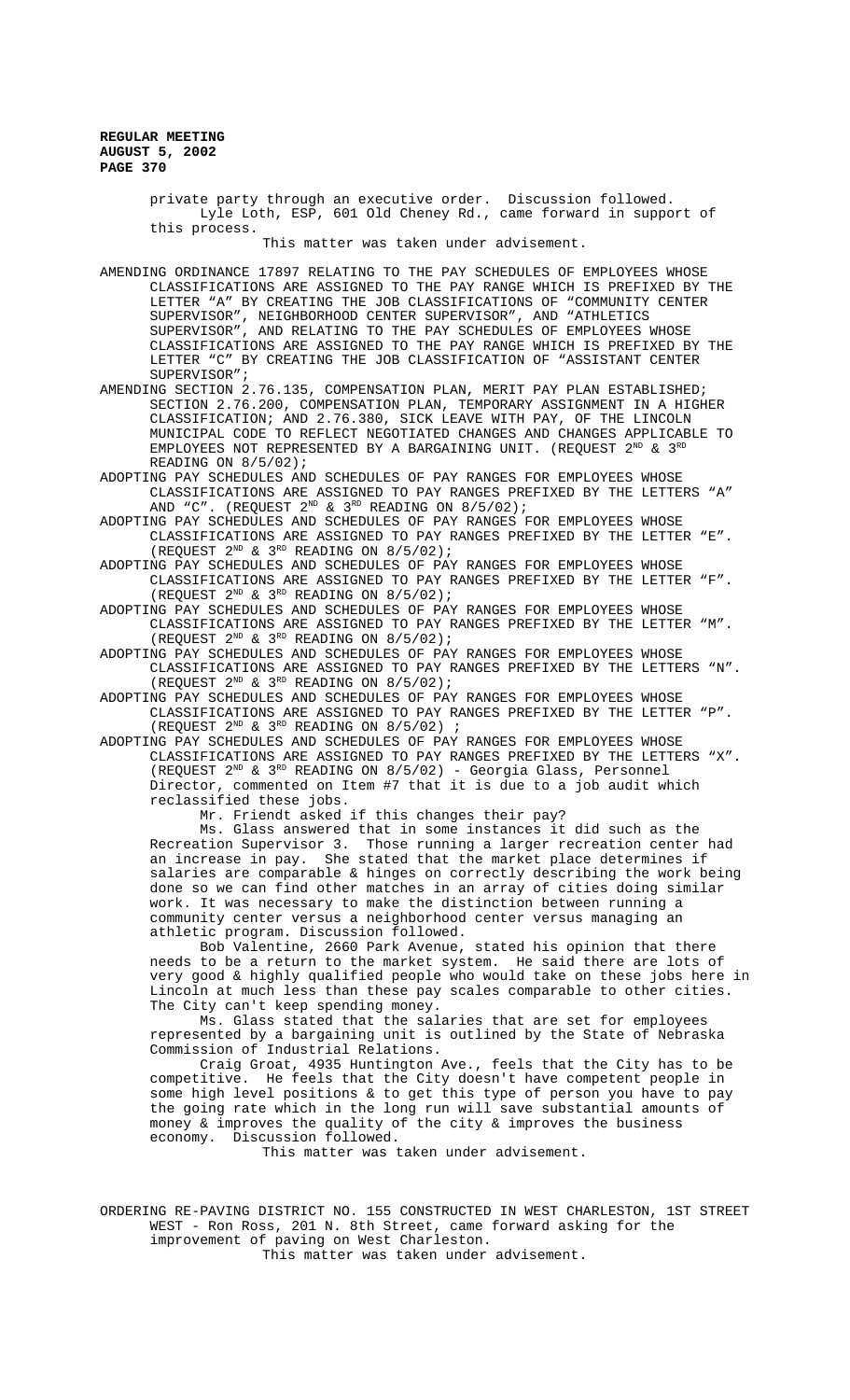> private party through an executive order. Discussion followed. Lyle Loth, ESP, 601 Old Cheney Rd., came forward in support of this process.

> > This matter was taken under advisement.

AMENDING ORDINANCE 17897 RELATING TO THE PAY SCHEDULES OF EMPLOYEES WHOSE CLASSIFICATIONS ARE ASSIGNED TO THE PAY RANGE WHICH IS PREFIXED BY THE LETTER "A" BY CREATING THE JOB CLASSIFICATIONS OF "COMMUNITY CENTER SUPERVISOR", NEIGHBORHOOD CENTER SUPERVISOR", AND "ATHLETICS SUPERVISOR", AND RELATING TO THE PAY SCHEDULES OF EMPLOYEES WHOSE CLASSIFICATIONS ARE ASSIGNED TO THE PAY RANGE WHICH IS PREFIXED BY THE LETTER "C" BY CREATING THE JOB CLASSIFICATION OF "ASSISTANT CENTER SUPERVISOR";

AMENDING SECTION 2.76.135, COMPENSATION PLAN, MERIT PAY PLAN ESTABLISHED; SECTION 2.76.200, COMPENSATION PLAN, TEMPORARY ASSIGNMENT IN A HIGHER CLASSIFICATION; AND 2.76.380, SICK LEAVE WITH PAY, OF THE LINCOLN MUNICIPAL CODE TO REFLECT NEGOTIATED CHANGES AND CHANGES APPLICABLE TO EMPLOYEES NOT REPRESENTED BY A BARGAINING UNIT. (REQUEST  $2^{ND}$  &  $3^{RD}$ READING ON 8/5/02);

ADOPTING PAY SCHEDULES AND SCHEDULES OF PAY RANGES FOR EMPLOYEES WHOSE CLASSIFICATIONS ARE ASSIGNED TO PAY RANGES PREFIXED BY THE LETTERS "A" AND "C". (REQUEST  $2^{ND}$  &  $3^{RD}$  READING ON  $8/5/02$ );

ADOPTING PAY SCHEDULES AND SCHEDULES OF PAY RANGES FOR EMPLOYEES WHOSE CLASSIFICATIONS ARE ASSIGNED TO PAY RANGES PREFIXED BY THE LETTER "E". (REQUEST  $2^{ND}$  &  $3^{RD}$  READING ON  $8/5/02$ );

ADOPTING PAY SCHEDULES AND SCHEDULES OF PAY RANGES FOR EMPLOYEES WHOSE CLASSIFICATIONS ARE ASSIGNED TO PAY RANGES PREFIXED BY THE LETTER "F". (REQUEST  $2^{ND}$  &  $3^{RD}$  READING ON  $8/5/02$ );

ADOPTING PAY SCHEDULES AND SCHEDULES OF PAY RANGES FOR EMPLOYEES WHOSE CLASSIFICATIONS ARE ASSIGNED TO PAY RANGES PREFIXED BY THE LETTER "M". (REQUEST  $2^{ND}$  &  $3^{RD}$  READING ON 8/5/02);

ADOPTING PAY SCHEDULES AND SCHEDULES OF PAY RANGES FOR EMPLOYEES WHOSE CLASSIFICATIONS ARE ASSIGNED TO PAY RANGES PREFIXED BY THE LETTERS "N". (REQUEST  $2^{ND}$  &  $3^{RD}$  READING ON  $8/5/02$ );

ADOPTING PAY SCHEDULES AND SCHEDULES OF PAY RANGES FOR EMPLOYEES WHOSE CLASSIFICATIONS ARE ASSIGNED TO PAY RANGES PREFIXED BY THE LETTER "P". (REQUEST  $2^{ND}$  &  $3^{RD}$  READING ON  $8/5/02$ ) ;

ADOPTING PAY SCHEDULES AND SCHEDULES OF PAY RANGES FOR EMPLOYEES WHOSE CLASSIFICATIONS ARE ASSIGNED TO PAY RANGES PREFIXED BY THE LETTERS "X". (REQUEST  $2^{ND}$  &  $3^{RD}$  READING ON  $8/5/02$ ) - Georgia Glass, Personnel Director, commented on Item #7 that it is due to a job audit which reclassified these jobs.

Mr. Friendt asked if this changes their pay?

Ms. Glass answered that in some instances it did such as the Recreation Supervisor 3. Those running a larger recreation center had an increase in pay. She stated that the market place determines if salaries are comparable & hinges on correctly describing the work being done so we can find other matches in an array of cities doing similar work. It was necessary to make the distinction between running a community center versus a neighborhood center versus managing an athletic program. Discussion followed.

Bob Valentine, 2660 Park Avenue, stated his opinion that there needs to be a return to the market system. He said there are lots of very good & highly qualified people who would take on these jobs here in Lincoln at much less than these pay scales comparable to other cities. The City can't keep spending money.

Ms. Glass stated that the salaries that are set for employees represented by a bargaining unit is outlined by the State of Nebraska Commission of Industrial Relations.

Craig Groat, 4935 Huntington Ave., feels that the City has to be competitive. He feels that the City doesn't have competent people in some high level positions & to get this type of person you have to pay the going rate which in the long run will save substantial amounts of money & improves the quality of the city & improves the business economy. Discussion followed.

This matter was taken under advisement.

ORDERING RE-PAVING DISTRICT NO. 155 CONSTRUCTED IN WEST CHARLESTON, 1ST STREET WEST - Ron Ross, 201 N. 8th Street, came forward asking for the improvement of paving on West Charleston. This matter was taken under advisement.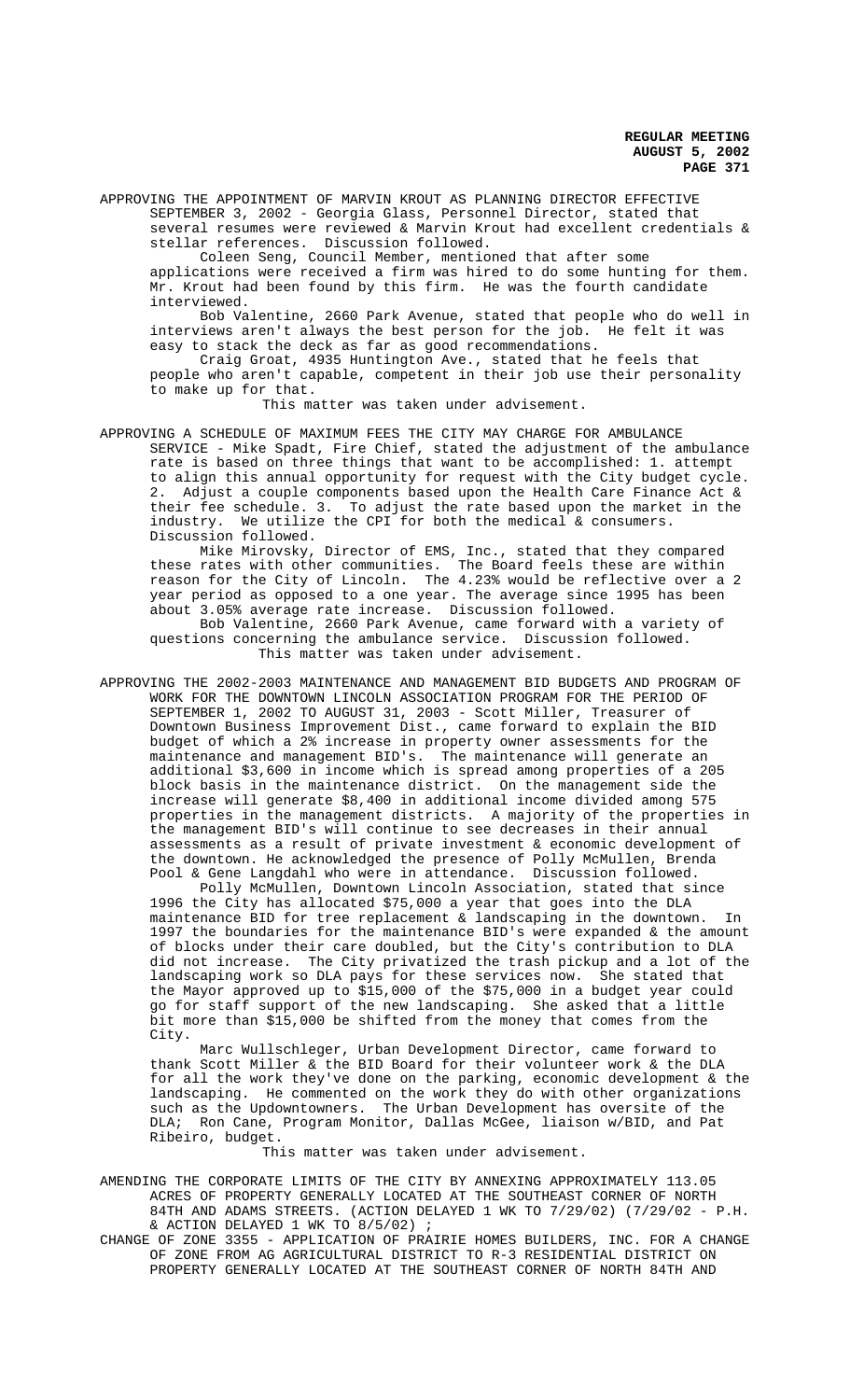APPROVING THE APPOINTMENT OF MARVIN KROUT AS PLANNING DIRECTOR EFFECTIVE SEPTEMBER 3, 2002 - Georgia Glass, Personnel Director, stated that several resumes were reviewed & Marvin Krout had excellent credentials & stellar references. Discussion followed.

Coleen Seng, Council Member, mentioned that after some applications were received a firm was hired to do some hunting for them. Mr. Krout had been found by this firm. He was the fourth candidate interviewed.

Bob Valentine, 2660 Park Avenue, stated that people who do well in interviews aren't always the best person for the job. He felt it was easy to stack the deck as far as good recommendations.

Craig Groat, 4935 Huntington Ave., stated that he feels that people who aren't capable, competent in their job use their personality to make up for that.

This matter was taken under advisement.

APPROVING A SCHEDULE OF MAXIMUM FEES THE CITY MAY CHARGE FOR AMBULANCE SERVICE - Mike Spadt, Fire Chief, stated the adjustment of the ambulance rate is based on three things that want to be accomplished: 1. attempt to align this annual opportunity for request with the City budget cycle. 2. Adjust a couple components based upon the Health Care Finance Act & their fee schedule. 3. To adjust the rate based upon the market in the industry. We utilize the CPI for both the medical & consumers. Discussion followed.

Mike Mirovsky, Director of EMS, Inc., stated that they compared these rates with other communities. The Board feels these are within reason for the City of Lincoln. The 4.23% would be reflective over a 2 year period as opposed to a one year. The average since 1995 has been about 3.05% average rate increase. Discussion followed. Bob Valentine, 2660 Park Avenue, came forward with a variety of

questions concerning the ambulance service. Discussion followed. This matter was taken under advisement.

APPROVING THE 2002-2003 MAINTENANCE AND MANAGEMENT BID BUDGETS AND PROGRAM OF WORK FOR THE DOWNTOWN LINCOLN ASSOCIATION PROGRAM FOR THE PERIOD OF SEPTEMBER 1, 2002 TO AUGUST 31, 2003 - Scott Miller, Treasurer of Downtown Business Improvement Dist., came forward to explain the BID budget of which a 2% increase in property owner assessments for the maintenance and management BID's. The maintenance will generate an additional \$3,600 in income which is spread among properties of a 205 block basis in the maintenance district. On the management side the increase will generate \$8,400 in additional income divided among 575 properties in the management districts. A majority of the properties in the management BID's will continue to see decreases in their annual assessments as a result of private investment & economic development of the downtown. He acknowledged the presence of Polly McMullen, Brenda Pool & Gene Langdahl who were in attendance. Discussion followed.

Polly McMullen, Downtown Lincoln Association, stated that since 1996 the City has allocated \$75,000 a year that goes into the DLA maintenance BID for tree replacement & landscaping in the downtown. In 1997 the boundaries for the maintenance BID's were expanded & the amount of blocks under their care doubled, but the City's contribution to DLA did not increase. The City privatized the trash pickup and a lot of the landscaping work so DLA pays for these services now. She stated that the Mayor approved up to \$15,000 of the \$75,000 in a budget year could go for staff support of the new landscaping. She asked that a little bit more than \$15,000 be shifted from the money that comes from the City.

Marc Wullschleger, Urban Development Director, came forward to thank Scott Miller & the BID Board for their volunteer work & the DLA for all the work they've done on the parking, economic development & the landscaping. He commented on the work they do with other organizations such as the Updowntowners. The Urban Development has oversite of the DLA; Ron Cane, Program Monitor, Dallas McGee, liaison w/BID, and Pat Ribeiro, budget.

This matter was taken under advisement.

AMENDING THE CORPORATE LIMITS OF THE CITY BY ANNEXING APPROXIMATELY 113.05 ACRES OF PROPERTY GENERALLY LOCATED AT THE SOUTHEAST CORNER OF NORTH 84TH AND ADAMS STREETS. (ACTION DELAYED 1 WK TO 7/29/02) (7/29/02 - P.H. & ACTION DELAYED 1 WK TO  $8/5/02$ ) ;

CHANGE OF ZONE 3355 - APPLICATION OF PRAIRIE HOMES BUILDERS, INC. FOR A CHANGE OF ZONE FROM AG AGRICULTURAL DISTRICT TO R-3 RESIDENTIAL DISTRICT ON PROPERTY GENERALLY LOCATED AT THE SOUTHEAST CORNER OF NORTH 84TH AND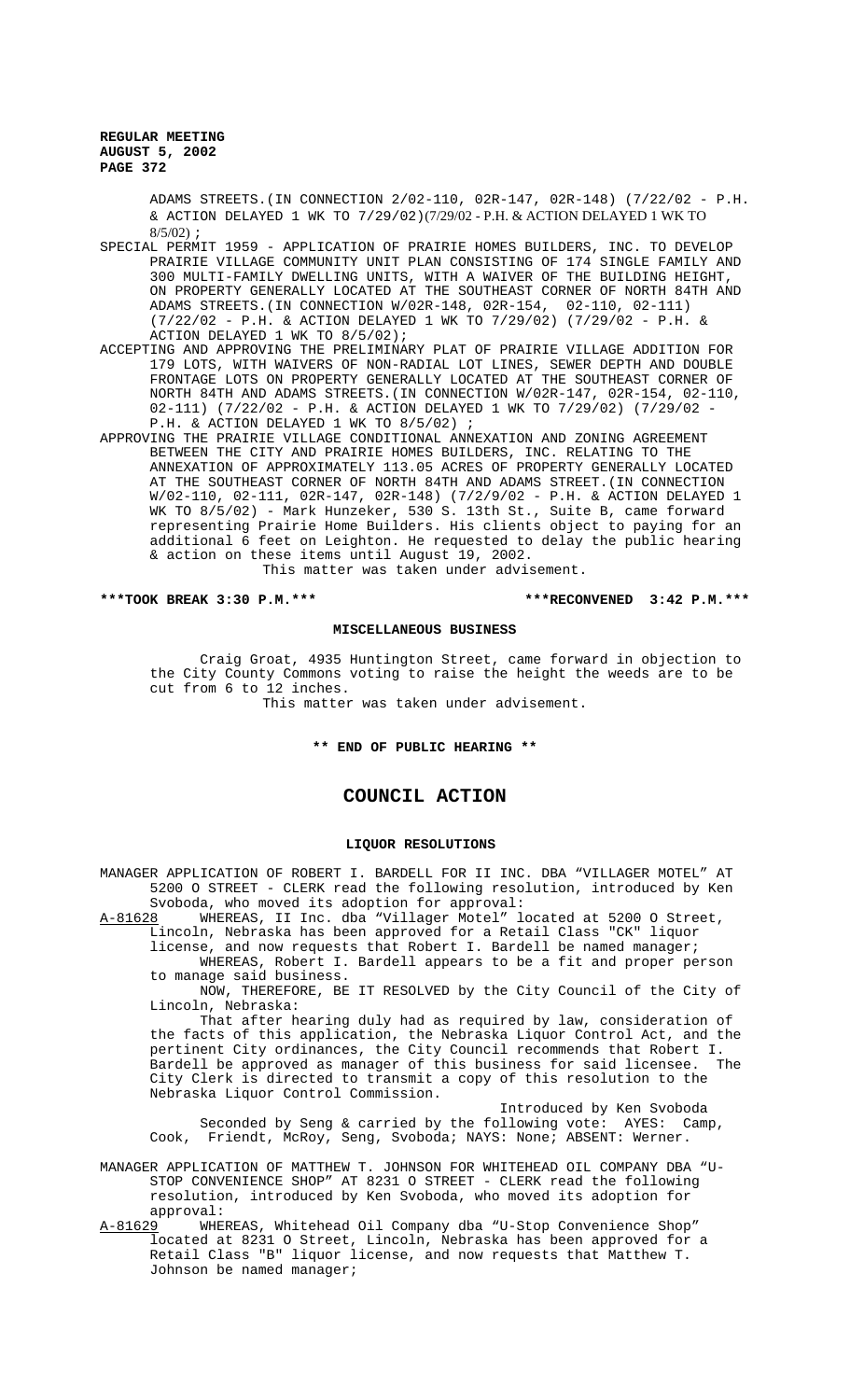ADAMS STREETS.(IN CONNECTION 2/02-110, 02R-147, 02R-148) (7/22/02 - P.H. & ACTION DELAYED 1 WK TO 7/29/02)(7/29/02 - P.H. & ACTION DELAYED 1 WK TO 8/5/02) ;

- SPECIAL PERMIT 1959 APPLICATION OF PRAIRIE HOMES BUILDERS, INC. TO DEVELOP PRAIRIE VILLAGE COMMUNITY UNIT PLAN CONSISTING OF 174 SINGLE FAMILY AND 300 MULTI-FAMILY DWELLING UNITS, WITH A WAIVER OF THE BUILDING HEIGHT, ON PROPERTY GENERALLY LOCATED AT THE SOUTHEAST CORNER OF NORTH 84TH AND ADAMS STREETS.(IN CONNECTION W/02R-148, 02R-154, 02-110, 02-111) (7/22/02 - P.H. & ACTION DELAYED 1 WK TO 7/29/02) (7/29/02 - P.H. & ACTION DELAYED 1 WK TO 8/5/02);
- ACCEPTING AND APPROVING THE PRELIMINARY PLAT OF PRAIRIE VILLAGE ADDITION FOR 179 LOTS, WITH WAIVERS OF NON-RADIAL LOT LINES, SEWER DEPTH AND DOUBLE FRONTAGE LOTS ON PROPERTY GENERALLY LOCATED AT THE SOUTHEAST CORNER OF NORTH 84TH AND ADAMS STREETS.(IN CONNECTION W/02R-147, 02R-154, 02-110, 02-111) (7/22/02 - P.H. & ACTION DELAYED 1 WK TO 7/29/02) (7/29/02 - P.H. & ACTION DELAYED 1 WK TO 8/5/02) ;
- APPROVING THE PRAIRIE VILLAGE CONDITIONAL ANNEXATION AND ZONING AGREEMENT BETWEEN THE CITY AND PRAIRIE HOMES BUILDERS, INC. RELATING TO THE ANNEXATION OF APPROXIMATELY 113.05 ACRES OF PROPERTY GENERALLY LOCATED AT THE SOUTHEAST CORNER OF NORTH 84TH AND ADAMS STREET.(IN CONNECTION W/02-110, 02-111, 02R-147, 02R-148) (7/2/9/02 - P.H. & ACTION DELAYED 1 WK TO 8/5/02) - Mark Hunzeker, 530 S. 13th St., Suite B, came forward representing Prairie Home Builders. His clients object to paying for an additional 6 feet on Leighton. He requested to delay the public hearing & action on these items until August 19, 2002.

This matter was taken under advisement.

#### **\*\*\*TOOK BREAK 3:30 P.M.\*\*\* \*\*\*RECONVENED 3:42 P.M.\*\*\***

## **MISCELLANEOUS BUSINESS**

Craig Groat, 4935 Huntington Street, came forward in objection to the City County Commons voting to raise the height the weeds are to be cut from 6 to 12 inches.

This matter was taken under advisement.

## **\*\* END OF PUBLIC HEARING \*\***

# **COUNCIL ACTION**

## **LIQUOR RESOLUTIONS**

MANAGER APPLICATION OF ROBERT I. BARDELL FOR II INC. DBA "VILLAGER MOTEL" AT 5200 O STREET - CLERK read the following resolution, introduced by Ken

Svoboda, who moved its adoption for approval:<br>A-81628 MHEREAS, II Inc. dba "Villager Motel" 1 WHEREAS, II Inc. dba "Villager Motel" located at 5200 O Street, Lincoln, Nebraska has been approved for a Retail Class "CK" liquor license, and now requests that Robert I. Bardell be named manager;

WHEREAS, Robert I. Bardell appears to be a fit and proper person

to manage said business.

NOW, THEREFORE, BE IT RESOLVED by the City Council of the City of Lincoln, Nebraska:

That after hearing duly had as required by law, consideration of the facts of this application, the Nebraska Liquor Control Act, and the pertinent City ordinances, the City Council recommends that Robert I. Bardell be approved as manager of this business for said licensee. The City Clerk is directed to transmit a copy of this resolution to the Nebraska Liquor Control Commission.

Introduced by Ken Svoboda Seconded by Seng & carried by the following vote: AYES: Camp, Cook, Friendt, McRoy, Seng, Svoboda; NAYS: None; ABSENT: Werner.

MANAGER APPLICATION OF MATTHEW T. JOHNSON FOR WHITEHEAD OIL COMPANY DBA "U-STOP CONVENIENCE SHOP" AT 8231 O STREET - CLERK read the following resolution, introduced by Ken Svoboda, who moved its adoption for approval:<br><u>A-81629</u> WHEI

WHEREAS, Whitehead Oil Company dba "U-Stop Convenience Shop" located at 8231 O Street, Lincoln, Nebraska has been approved for a Retail Class "B" liquor license, and now requests that Matthew T. Johnson be named manager;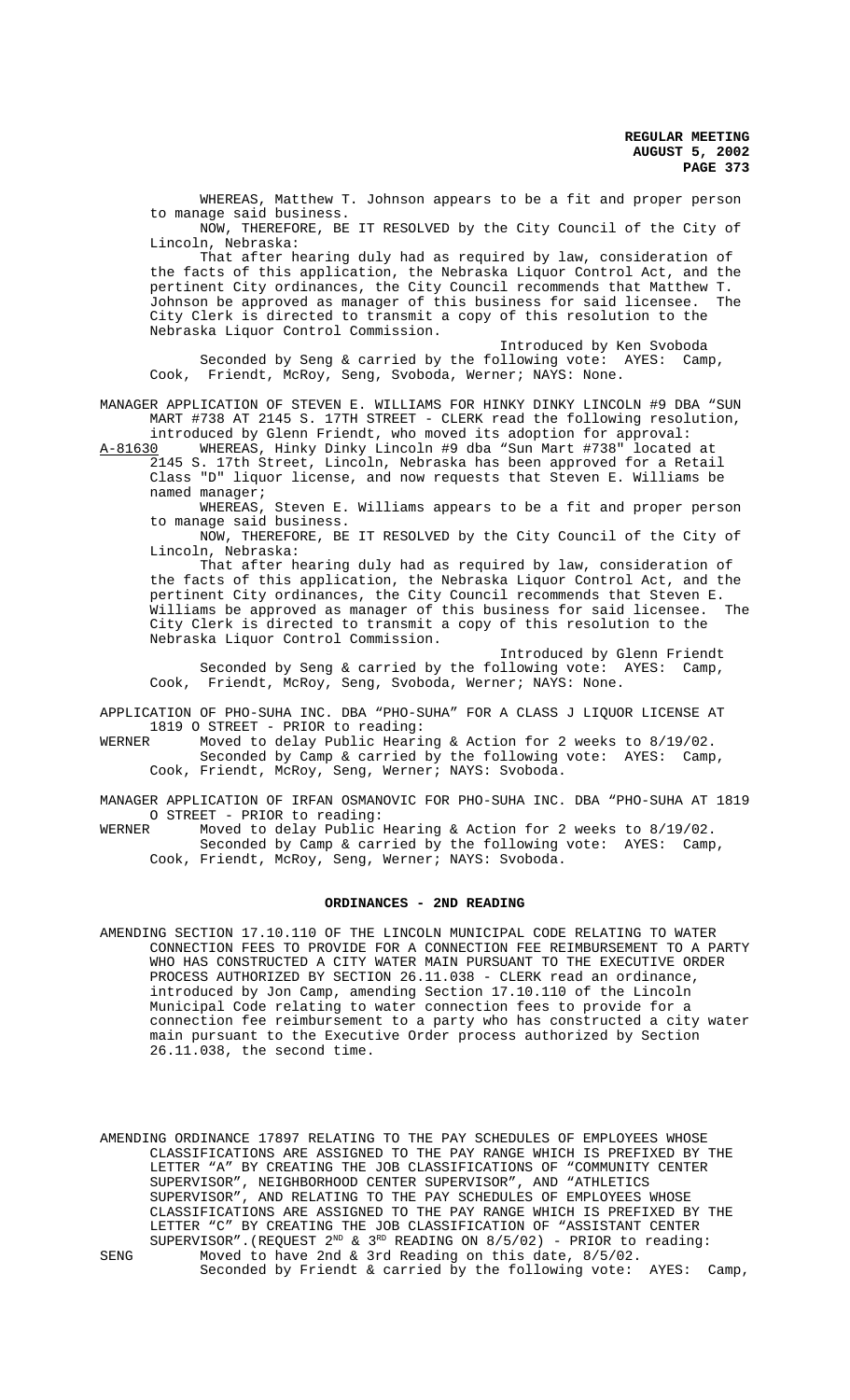WHEREAS, Matthew T. Johnson appears to be a fit and proper person to manage said business.

NOW, THEREFORE, BE IT RESOLVED by the City Council of the City of Lincoln, Nebraska:

That after hearing duly had as required by law, consideration of the facts of this application, the Nebraska Liquor Control Act, and the pertinent City ordinances, the City Council recommends that Matthew T. Johnson be approved as manager of this business for said licensee. The City Clerk is directed to transmit a copy of this resolution to the Nebraska Liquor Control Commission.

Introduced by Ken Svoboda Seconded by Seng & carried by the following vote: AYES: Camp, Cook, Friendt, McRoy, Seng, Svoboda, Werner; NAYS: None.

MANAGER APPLICATION OF STEVEN E. WILLIAMS FOR HINKY DINKY LINCOLN #9 DBA "SUN MART #738 AT 2145 S. 17TH STREET - CLERK read the following resolution, introduced by Glenn Friendt, who moved its adoption for approval:

A-81630 WHEREAS, Hinky Dinky Lincoln #9 dba "Sun Mart #738" located at 2145 S. 17th Street, Lincoln, Nebraska has been approved for a Retail Class "D" liquor license, and now requests that Steven E. Williams be named manager;

WHEREAS, Steven E. Williams appears to be a fit and proper person to manage said business.

NOW, THEREFORE, BE IT RESOLVED by the City Council of the City of Lincoln, Nebraska:

That after hearing duly had as required by law, consideration of the facts of this application, the Nebraska Liquor Control Act, and the pertinent City ordinances, the City Council recommends that Steven E. Williams be approved as manager of this business for said licensee. The City Clerk is directed to transmit a copy of this resolution to the Nebraska Liquor Control Commission.

Introduced by Glenn Friendt Seconded by Seng & carried by the following vote: AYES: Camp, Cook, Friendt, McRoy, Seng, Svoboda, Werner; NAYS: None.

APPLICATION OF PHO-SUHA INC. DBA "PHO-SUHA" FOR A CLASS J LIQUOR LICENSE AT

1819 O STREET - PRIOR to reading:<br>WERNER Moved to delay Public Heari Moved to delay Public Hearing & Action for 2 weeks to 8/19/02. Seconded by Camp & carried by the following vote: AYES: Camp, Cook, Friendt, McRoy, Seng, Werner; NAYS: Svoboda.

MANAGER APPLICATION OF IRFAN OSMANOVIC FOR PHO-SUHA INC. DBA "PHO-SUHA AT 1819 O STREET - PRIOR to reading:

WERNER Moved to delay Public Hearing & Action for 2 weeks to 8/19/02. Seconded by Camp & carried by the following vote: AYES: Camp, Cook, Friendt, McRoy, Seng, Werner; NAYS: Svoboda.

#### **ORDINANCES - 2ND READING**

AMENDING SECTION 17.10.110 OF THE LINCOLN MUNICIPAL CODE RELATING TO WATER CONNECTION FEES TO PROVIDE FOR A CONNECTION FEE REIMBURSEMENT TO A PARTY WHO HAS CONSTRUCTED A CITY WATER MAIN PURSUANT TO THE EXECUTIVE ORDER PROCESS AUTHORIZED BY SECTION 26.11.038 - CLERK read an ordinance, introduced by Jon Camp, amending Section 17.10.110 of the Lincoln Municipal Code relating to water connection fees to provide for a connection fee reimbursement to a party who has constructed a city water main pursuant to the Executive Order process authorized by Section 26.11.038, the second time.

AMENDING ORDINANCE 17897 RELATING TO THE PAY SCHEDULES OF EMPLOYEES WHOSE CLASSIFICATIONS ARE ASSIGNED TO THE PAY RANGE WHICH IS PREFIXED BY THE LETTER "A" BY CREATING THE JOB CLASSIFICATIONS OF "COMMUNITY CENTER SUPERVISOR", NEIGHBORHOOD CENTER SUPERVISOR", AND "ATHLETICS<br>SUPERVISOR", AND RELATING TO THE PAY SCHEDULES OF EMPLOYEES I SUPERVISOR", AND RELATING TO THE PAY SCHEDULES OF EMPLOYEES WHOSE CLASSIFICATIONS ARE ASSIGNED TO THE PAY RANGE WHICH IS PREFIXED BY THE LETTER "C" BY CREATING THE JOB CLASSIFICATION OF "ASSISTANT CENTER SUPERVISOR".(REQUEST  $2^{ND}$  &  $3^{RD}$  READING ON 8/5/02) - PRIOR to reading: SENG Moved to have 2nd & 3rd Reading on this date, 8/5/02. Seconded by Friendt & carried by the following vote: AYES: Camp,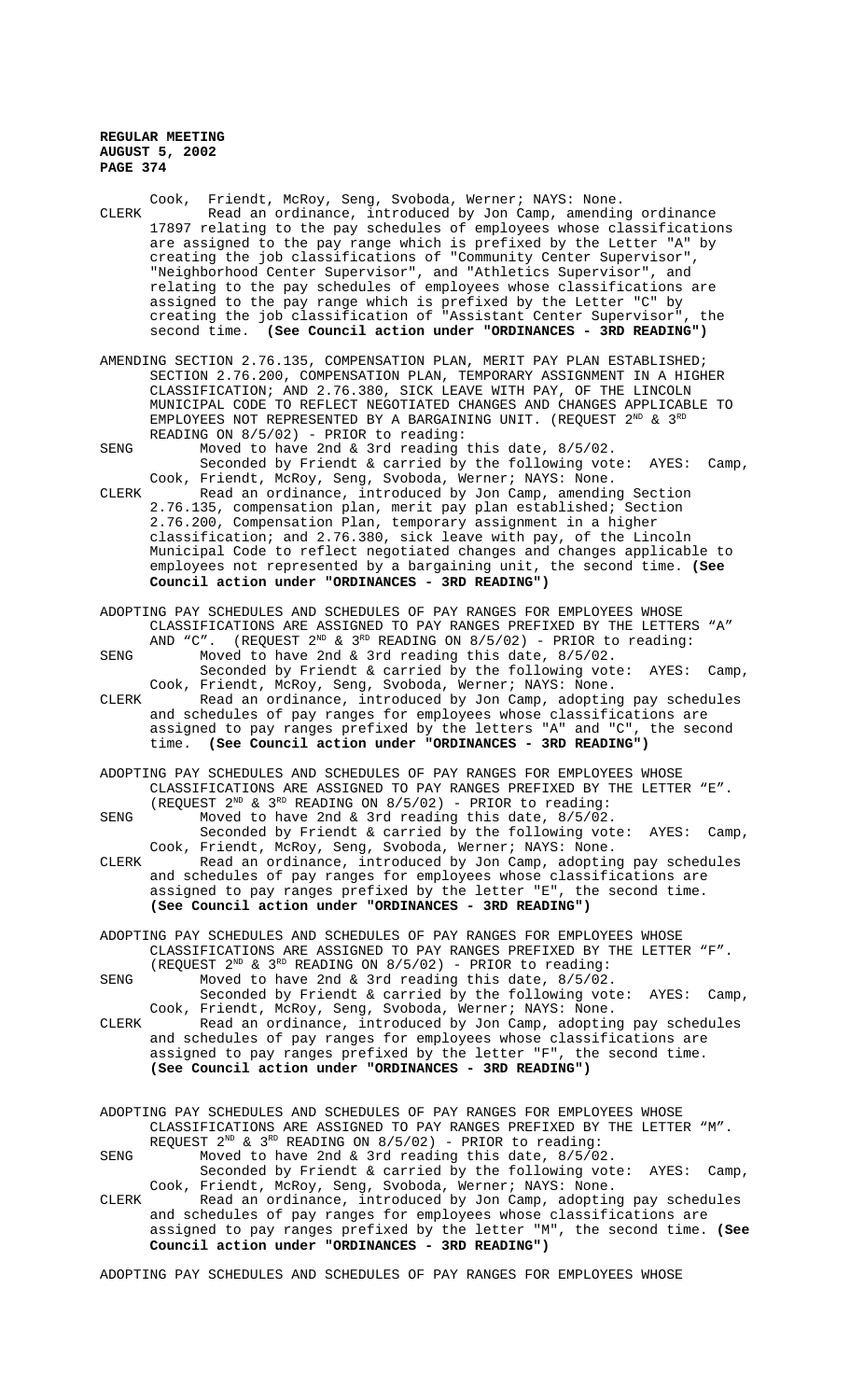| CLERK         | Read an ordinance, introduced by Jon Camp, amending ordinance<br>17897 relating to the pay schedules of employees whose classifications<br>are assigned to the pay range which is prefixed by the Letter "A" by<br>creating the job classifications of "Community Center Supervisor",<br>"Neighborhood Center Supervisor", and "Athletics Supervisor", and<br>relating to the pay schedules of employees whose classifications are<br>assigned to the pay range which is prefixed by the Letter "C" by<br>creating the job classification of "Assistant Center Supervisor", the<br>second time. (See Council action under "ORDINANCES - 3RD READING")                                                                                                                                                                                                                                                                                                                                                                                                                                                                 |  |  |  |  |
|---------------|-----------------------------------------------------------------------------------------------------------------------------------------------------------------------------------------------------------------------------------------------------------------------------------------------------------------------------------------------------------------------------------------------------------------------------------------------------------------------------------------------------------------------------------------------------------------------------------------------------------------------------------------------------------------------------------------------------------------------------------------------------------------------------------------------------------------------------------------------------------------------------------------------------------------------------------------------------------------------------------------------------------------------------------------------------------------------------------------------------------------------|--|--|--|--|
| SENG<br>CLERK | AMENDING SECTION 2.76.135, COMPENSATION PLAN, MERIT PAY PLAN ESTABLISHED;<br>SECTION 2.76.200, COMPENSATION PLAN, TEMPORARY ASSIGNMENT IN A HIGHER<br>CLASSIFICATION; AND 2.76.380, SICK LEAVE WITH PAY, OF THE LINCOLN<br>MUNICIPAL CODE TO REFLECT NEGOTIATED CHANGES AND CHANGES APPLICABLE TO<br>EMPLOYEES NOT REPRESENTED BY A BARGAINING UNIT. (REQUEST 2 <sup>ND</sup> & 3 <sup>RD</sup><br>READING ON 8/5/02) - PRIOR to reading:<br>Moved to have 2nd & 3rd reading this date, 8/5/02.<br>Seconded by Friendt & carried by the following vote:<br>AYES:<br>Camp,<br>Cook, Friendt, McRoy, Seng, Svoboda, Werner; NAYS: None.<br>Read an ordinance, introduced by Jon Camp, amending Section<br>2.76.135, compensation plan, merit pay plan established; Section<br>2.76.200, Compensation Plan, temporary assignment in a higher<br>classification; and 2.76.380, sick leave with pay, of the Lincoln<br>Municipal Code to reflect negotiated changes and changes applicable to<br>employees not represented by a bargaining unit, the second time. (See<br>Council action under "ORDINANCES - 3RD READING") |  |  |  |  |
| SENG          | ADOPTING PAY SCHEDULES AND SCHEDULES OF PAY RANGES FOR EMPLOYEES WHOSE<br>CLASSIFICATIONS ARE ASSIGNED TO PAY RANGES PREFIXED BY THE LETTERS "A"<br>AND "C". (REQUEST 2 <sup>ND</sup> & 3 <sup>RD</sup> READING ON 8/5/02) - PRIOR to reading:<br>Moved to have 2nd & 3rd reading this date, 8/5/02.                                                                                                                                                                                                                                                                                                                                                                                                                                                                                                                                                                                                                                                                                                                                                                                                                  |  |  |  |  |
| CLERK         | Seconded by Friendt & carried by the following vote:<br>AYES:<br>Camp,<br>Cook, Friendt, McRoy, Seng, Svoboda, Werner; NAYS: None.<br>Read an ordinance, introduced by Jon Camp, adopting pay schedules<br>and schedules of pay ranges for employees whose classifications are<br>assigned to pay ranges prefixed by the letters "A" and "C", the second<br>time. (See Council action under "ORDINANCES - 3RD READING")                                                                                                                                                                                                                                                                                                                                                                                                                                                                                                                                                                                                                                                                                               |  |  |  |  |
|               | ADOPTING PAY SCHEDULES AND SCHEDULES OF PAY RANGES FOR EMPLOYEES WHOSE<br>CLASSIFICATIONS ARE ASSIGNED TO PAY RANGES PREFIXED BY THE LETTER "E".<br>(REQUEST $2^{ND}$ & $3^{RD}$ READING ON $8/5/02$ ) - PRIOR to reading:                                                                                                                                                                                                                                                                                                                                                                                                                                                                                                                                                                                                                                                                                                                                                                                                                                                                                            |  |  |  |  |
| SENG          | Moved to have 2nd & 3rd reading this date, 8/5/02.<br>Seconded by Friendt & carried by the following vote: AYES: Camp,<br>Cook, Friendt, McRoy, Seng, Svoboda, Werner; NAYS: None.                                                                                                                                                                                                                                                                                                                                                                                                                                                                                                                                                                                                                                                                                                                                                                                                                                                                                                                                    |  |  |  |  |
| CLERK         | Read an ordinance, introduced by Jon Camp, adopting pay schedules<br>and schedules of pay ranges for employees whose classifications are<br>assigned to pay ranges prefixed by the letter "E", the second time.<br>(See Council action under "ORDINANCES - 3RD READING")                                                                                                                                                                                                                                                                                                                                                                                                                                                                                                                                                                                                                                                                                                                                                                                                                                              |  |  |  |  |
|               | ADOPTING PAY SCHEDULES AND SCHEDULES OF PAY RANGES FOR EMPLOYEES WHOSE                                                                                                                                                                                                                                                                                                                                                                                                                                                                                                                                                                                                                                                                                                                                                                                                                                                                                                                                                                                                                                                |  |  |  |  |
| SENG          | CLASSIFICATIONS ARE ASSIGNED TO PAY RANGES PREFIXED BY THE LETTER "F".<br>(REQUEST $2^{ND}$ & $3^{RD}$ READING ON 8/5/02) - PRIOR to reading:<br>Moved to have 2nd & 3rd reading this date, $8/5/02$ .                                                                                                                                                                                                                                                                                                                                                                                                                                                                                                                                                                                                                                                                                                                                                                                                                                                                                                                |  |  |  |  |
| CLERK         | Seconded by Friendt & carried by the following vote:<br>AYES:<br>Camp,<br>Cook, Friendt, McRoy, Seng, Svoboda, Werner; NAYS: None.<br>Read an ordinance, introduced by Jon Camp, adopting pay schedules<br>and schedules of pay ranges for employees whose classifications are                                                                                                                                                                                                                                                                                                                                                                                                                                                                                                                                                                                                                                                                                                                                                                                                                                        |  |  |  |  |
|               | assigned to pay ranges prefixed by the letter "F", the second time.<br>(See Council action under "ORDINANCES - 3RD READING")                                                                                                                                                                                                                                                                                                                                                                                                                                                                                                                                                                                                                                                                                                                                                                                                                                                                                                                                                                                          |  |  |  |  |
|               | ADOPTING PAY SCHEDULES AND SCHEDULES OF PAY RANGES FOR EMPLOYEES WHOSE<br>CLASSIFICATIONS ARE ASSIGNED TO PAY RANGES PREFIXED BY THE LETTER "M".                                                                                                                                                                                                                                                                                                                                                                                                                                                                                                                                                                                                                                                                                                                                                                                                                                                                                                                                                                      |  |  |  |  |
| SENG          | REQUEST $2^{ND}$ & $3^{RD}$ READING ON $8/5/02$ ) - PRIOR to reading:<br>Moved to have 2nd & 3rd reading this date, 8/5/02.<br>Seconded by Friendt & carried by the following vote: AYES:<br>Camp,                                                                                                                                                                                                                                                                                                                                                                                                                                                                                                                                                                                                                                                                                                                                                                                                                                                                                                                    |  |  |  |  |
| CLERK         | Cook, Friendt, McRoy, Seng, Svoboda, Werner; NAYS: None.<br>Read an ordinance, introduced by Jon Camp, adopting pay schedules<br>and schedules of pay ranges for employees whose classifications are<br>assigned to pay ranges prefixed by the letter "M", the second time. (See<br>Council action under "ORDINANCES - 3RD READING")                                                                                                                                                                                                                                                                                                                                                                                                                                                                                                                                                                                                                                                                                                                                                                                  |  |  |  |  |
|               | ADOPTING PAY SCHEDULES AND SCHEDULES OF PAY RANGES FOR EMPLOYEES WHOSE                                                                                                                                                                                                                                                                                                                                                                                                                                                                                                                                                                                                                                                                                                                                                                                                                                                                                                                                                                                                                                                |  |  |  |  |

Cook, Friendt, McRoy, Seng, Svoboda, Werner; NAYS: None.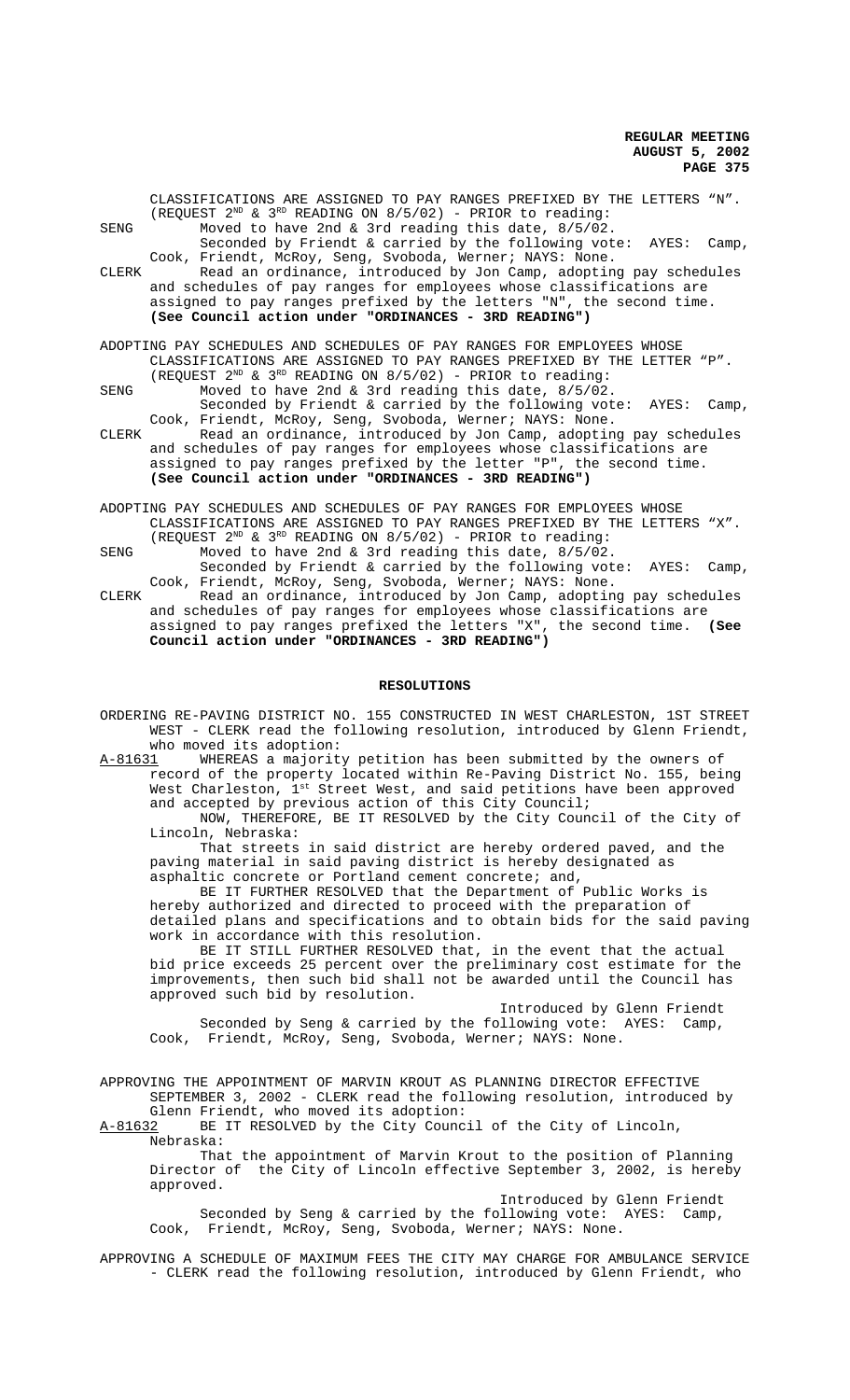|       | CLASSIFICATIONS ARE ASSIGNED TO PAY RANGES PREFIXED BY THE LETTERS "N". |
|-------|-------------------------------------------------------------------------|
|       | (REQUEST $2^{ND}$ & $3^{RD}$ READING ON $8/5/02$ ) - PRIOR to reading:  |
| SENG  | Moved to have 2nd & 3rd reading this date, 8/5/02.                      |
|       | Seconded by Friendt & carried by the following vote: AYES:<br>Camp,     |
|       | Cook, Friendt, McRoy, Seng, Svoboda, Werner; NAYS: None.                |
| CLERK | Read an ordinance, introduced by Jon Camp, adopting pay schedules       |
|       | and schedules of pay ranges for employees whose classifications are     |
|       | assigned to pay ranges prefixed by the letters "N", the second time.    |
|       | (See Council action under "ORDINANCES - 3RD READING")                   |
|       |                                                                         |
|       | ADOPTING PAY SCHEDULES AND SCHEDULES OF PAY RANGES FOR EMPLOYEES WHOSE  |
|       | CLASSIFICATIONS ARE ASSIGNED TO PAY RANGES PREFIXED BY THE LETTER "P".  |
|       | (REQUEST $2^{ND}$ & $3^{RD}$ READING ON $8/5/02$ ) - PRIOR to reading:  |
| SENG  | Moved to have 2nd & 3rd reading this date, 8/5/02.                      |

Seconded by Friendt & carried by the following vote: AYES: Camp, Cook, Friendt, McRoy, Seng, Svoboda, Werner; NAYS: None.

CLERK Read an ordinance, introduced by Jon Camp, adopting pay schedules and schedules of pay ranges for employees whose classifications are assigned to pay ranges prefixed by the letter "P", the second time. **(See Council action under "ORDINANCES - 3RD READING")**

ADOPTING PAY SCHEDULES AND SCHEDULES OF PAY RANGES FOR EMPLOYEES WHOSE CLASSIFICATIONS ARE ASSIGNED TO PAY RANGES PREFIXED BY THE LETTERS "X". (REQUEST  $2^{ND}$  &  $3^{RD}$  READING ON  $8/5/02$ ) - PRIOR to reading:

SENG Moved to have 2nd & 3rd reading this date, 8/5/02. Seconded by Friendt & carried by the following vote: AYES: Camp, Cook, Friendt, McRoy, Seng, Svoboda, Werner; NAYS: None.

CLERK Read an ordinance, introduced by Jon Camp, adopting pay schedules and schedules of pay ranges for employees whose classifications are assigned to pay ranges prefixed the letters "X", the second time. **(See Council action under "ORDINANCES - 3RD READING")**

## **RESOLUTIONS**

ORDERING RE-PAVING DISTRICT NO. 155 CONSTRUCTED IN WEST CHARLESTON, 1ST STREET WEST - CLERK read the following resolution, introduced by Glenn Friendt, who moved its adoption:

A-81631 WHEREAS a majority petition has been submitted by the owners of record of the property located within Re-Paving District No. 155, being West Charleston,  $1^\text{st}$  Street West, and said petitions have been approved and accepted by previous action of this City Council;

NOW, THEREFORE, BE IT RESOLVED by the City Council of the City of Lincoln, Nebraska:

That streets in said district are hereby ordered paved, and the paving material in said paving district is hereby designated as asphaltic concrete or Portland cement concrete; and,

BE IT FURTHER RESOLVED that the Department of Public Works is hereby authorized and directed to proceed with the preparation of detailed plans and specifications and to obtain bids for the said paving work in accordance with this resolution.

BE IT STILL FURTHER RESOLVED that, in the event that the actual bid price exceeds 25 percent over the preliminary cost estimate for the improvements, then such bid shall not be awarded until the Council has approved such bid by resolution.

Introduced by Glenn Friendt Seconded by Seng & carried by the following vote: AYES: Camp, Cook, Friendt, McRoy, Seng, Svoboda, Werner; NAYS: None.

APPROVING THE APPOINTMENT OF MARVIN KROUT AS PLANNING DIRECTOR EFFECTIVE SEPTEMBER 3, 2002 - CLERK read the following resolution, introduced by Glenn Friendt, who moved its adoption:

A-81632 BE IT RESOLVED by the City Council of the City of Lincoln, Nebraska:

That the appointment of Marvin Krout to the position of Planning Director of the City of Lincoln effective September 3, 2002, is hereby approved.

Introduced by Glenn Friendt Seconded by Seng & carried by the following vote: AYES: Camp, Cook, Friendt, McRoy, Seng, Svoboda, Werner; NAYS: None.

APPROVING A SCHEDULE OF MAXIMUM FEES THE CITY MAY CHARGE FOR AMBULANCE SERVICE - CLERK read the following resolution, introduced by Glenn Friendt, who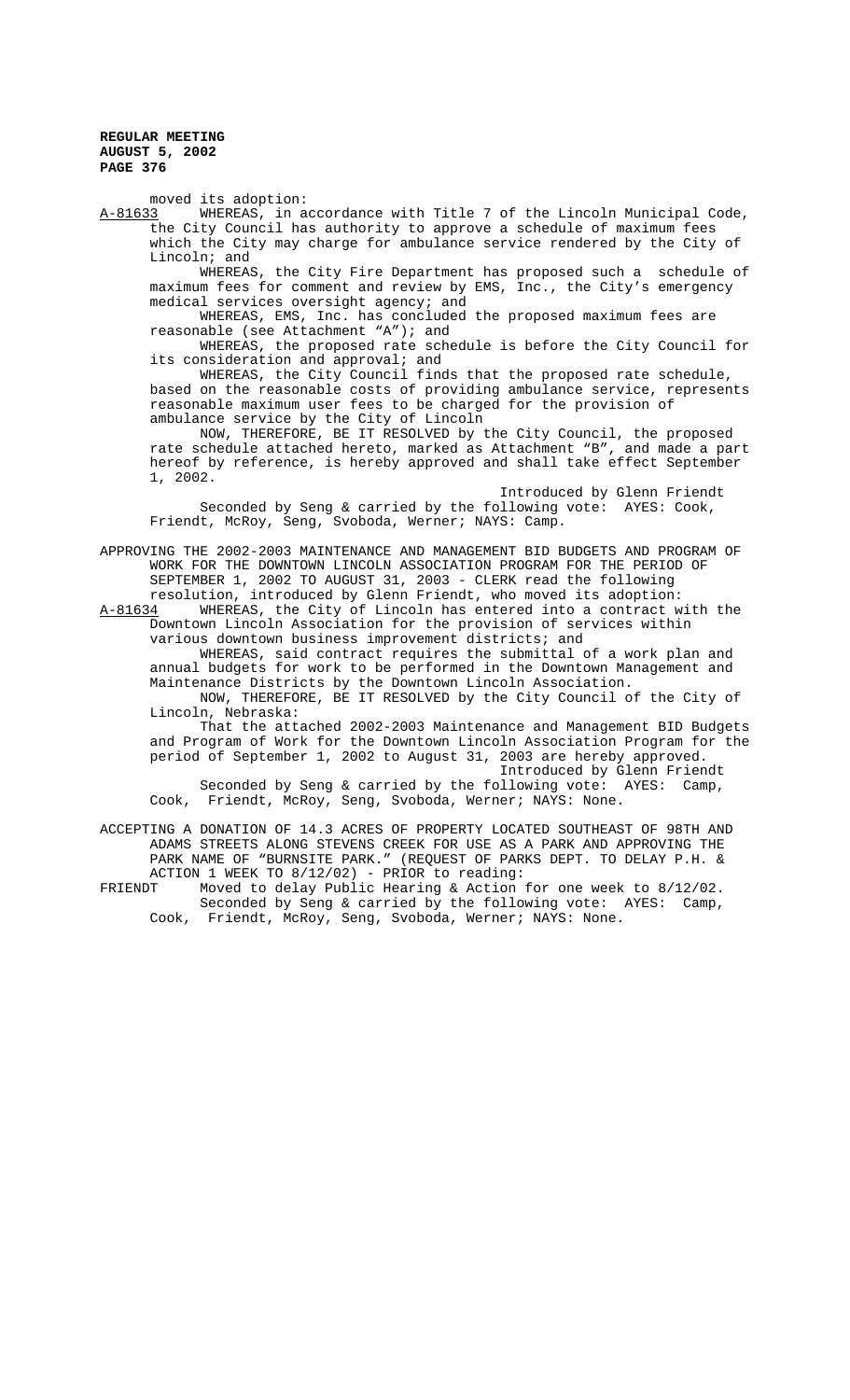moved its adoption:<br>A-81633 WHEREAS, in a

WHEREAS, in accordance with Title 7 of the Lincoln Municipal Code, the City Council has authority to approve a schedule of maximum fees which the City may charge for ambulance service rendered by the City of Lincoln; and

WHEREAS, the City Fire Department has proposed such a schedule of maximum fees for comment and review by EMS, Inc., the City's emergency medical services oversight agency; and

WHEREAS, EMS, Inc. has concluded the proposed maximum fees are reasonable (see Attachment "A"); and

WHEREAS, the proposed rate schedule is before the City Council for its consideration and approval; and

WHEREAS, the City Council finds that the proposed rate schedule, MALKEAS, the CIty Council Inner the costs of providing ambulance service, represents reasonable maximum user fees to be charged for the provision of ambulance service by the City of Lincoln

NOW, THEREFORE, BE IT RESOLVED by the City Council, the proposed rate schedule attached hereto, marked as Attachment "B", and made a part hereof by reference, is hereby approved and shall take effect September 1, 2002.

Introduced by Glenn Friendt Seconded by Seng & carried by the following vote: AYES: Cook, Friendt, McRoy, Seng, Svoboda, Werner; NAYS: Camp.

APPROVING THE 2002-2003 MAINTENANCE AND MANAGEMENT BID BUDGETS AND PROGRAM OF WORK FOR THE DOWNTOWN LINCOLN ASSOCIATION PROGRAM FOR THE PERIOD OF SEPTEMBER 1, 2002 TO AUGUST 31, 2003 - CLERK read the following

resolution, introduced by Glenn Friendt, who moved its adoption: A-81634 WHEREAS, the City of Lincoln has entered into a contract with the Downtown Lincoln Association for the provision of services within various downtown business improvement districts; and

WHEREAS, said contract requires the submittal of a work plan and annual budgets for work to be performed in the Downtown Management and Maintenance Districts by the Downtown Lincoln Association.

NOW, THEREFORE, BE IT RESOLVED by the City Council of the City of Lincoln, Nebraska:

That the attached 2002-2003 Maintenance and Management BID Budgets and Program of Work for the Downtown Lincoln Association Program for the period of September 1, 2002 to August 31, 2003 are hereby approved. Introduced by Glenn Friendt

Seconded by Seng & carried by the following vote: AYES: Camp, Cook, Friendt, McRoy, Seng, Svoboda, Werner; NAYS: None.

ACCEPTING A DONATION OF 14.3 ACRES OF PROPERTY LOCATED SOUTHEAST OF 98TH AND ADAMS STREETS ALONG STEVENS CREEK FOR USE AS A PARK AND APPROVING THE PARK NAME OF "BURNSITE PARK." (REQUEST OF PARKS DEPT. TO DELAY P.H. & ACTION 1 WEEK TO 8/12/02) - PRIOR to reading:<br>FRIENDT Moved to delay Public Hearing & Action

Moved to delay Public Hearing & Action for one week to  $8/12/02$ . Seconded by Seng & carried by the following vote: AYES: Camp, Cook, Friendt, McRoy, Seng, Svoboda, Werner; NAYS: None.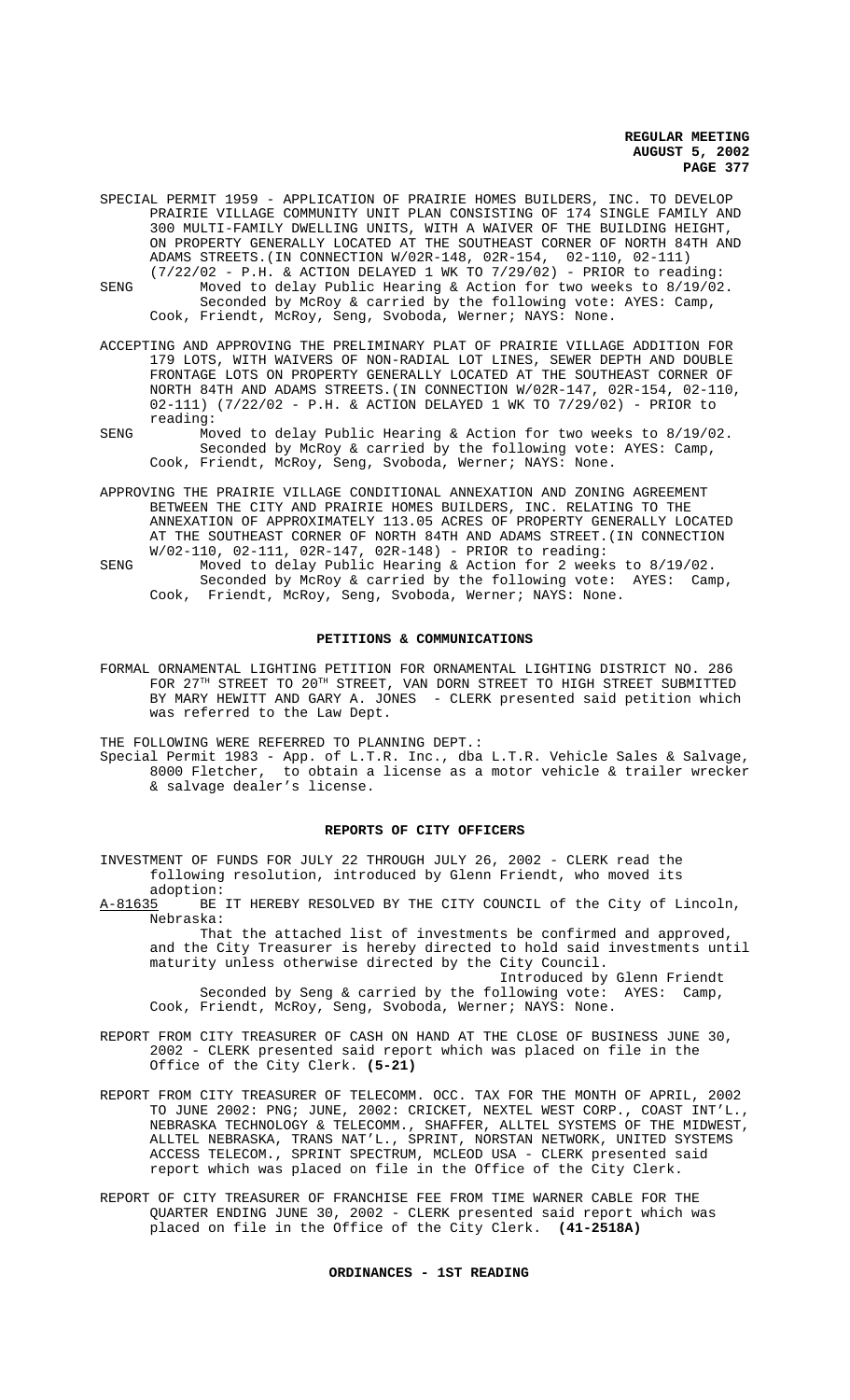- SPECIAL PERMIT 1959 APPLICATION OF PRAIRIE HOMES BUILDERS, INC. TO DEVELOP PRAIRIE VILLAGE COMMUNITY UNIT PLAN CONSISTING OF 174 SINGLE FAMILY AND 300 MULTI-FAMILY DWELLING UNITS, WITH A WAIVER OF THE BUILDING HEIGHT, ON PROPERTY GENERALLY LOCATED AT THE SOUTHEAST CORNER OF NORTH 84TH AND ADAMS STREETS.(IN CONNECTION W/02R-148, 02R-154, 02-110, 02-111)
- (7/22/02 P.H. & ACTION DELAYED 1 WK TO 7/29/02) PRIOR to reading: SENG Moved to delay Public Hearing & Action for two weeks to 8/19/02. Seconded by McRoy & carried by the following vote: AYES: Camp, Cook, Friendt, McRoy, Seng, Svoboda, Werner; NAYS: None.
- ACCEPTING AND APPROVING THE PRELIMINARY PLAT OF PRAIRIE VILLAGE ADDITION FOR 179 LOTS, WITH WAIVERS OF NON-RADIAL LOT LINES, SEWER DEPTH AND DOUBLE FRONTAGE LOTS ON PROPERTY GENERALLY LOCATED AT THE SOUTHEAST CORNER OF NORTH 84TH AND ADAMS STREETS.(IN CONNECTION W/02R-147, 02R-154, 02-110, 02-111) (7/22/02 - P.H. & ACTION DELAYED 1 WK TO 7/29/02) - PRIOR to reading:
- SENG Moved to delay Public Hearing & Action for two weeks to 8/19/02. Seconded by McRoy & carried by the following vote: AYES: Camp, Cook, Friendt, McRoy, Seng, Svoboda, Werner; NAYS: None.
- APPROVING THE PRAIRIE VILLAGE CONDITIONAL ANNEXATION AND ZONING AGREEMENT BETWEEN THE CITY AND PRAIRIE HOMES BUILDERS, INC. RELATING TO THE ANNEXATION OF APPROXIMATELY 113.05 ACRES OF PROPERTY GENERALLY LOCATED AT THE SOUTHEAST CORNER OF NORTH 84TH AND ADAMS STREET.(IN CONNECTION W/02-110, 02-111, 02R-147, 02R-148) - PRIOR to reading:
- SENG Moved to delay Public Hearing & Action for 2 weeks to 8/19/02. Seconded by McRoy & carried by the following vote: AYES: Camp, Cook, Friendt, McRoy, Seng, Svoboda, Werner; NAYS: None.

#### **PETITIONS & COMMUNICATIONS**

FORMAL ORNAMENTAL LIGHTING PETITION FOR ORNAMENTAL LIGHTING DISTRICT NO. 286 FOR 27TH STREET TO 20TH STREET, VAN DORN STREET TO HIGH STREET SUBMITTED BY MARY HEWITT AND GARY A. JONES - CLERK presented said petition which was referred to the Law Dept.

THE FOLLOWING WERE REFERRED TO PLANNING DEPT.:

Special Permit 1983 - App. of L.T.R. Inc., dba L.T.R. Vehicle Sales & Salvage, 8000 Fletcher, to obtain a license as a motor vehicle & trailer wrecker & salvage dealer's license.

## **REPORTS OF CITY OFFICERS**

INVESTMENT OF FUNDS FOR JULY 22 THROUGH JULY 26, 2002 - CLERK read the following resolution, introduced by Glenn Friendt, who moved its

adoption:<br>A-81635 BE BE IT HEREBY RESOLVED BY THE CITY COUNCIL of the City of Lincoln, Nebraska:

That the attached list of investments be confirmed and approved, and the City Treasurer is hereby directed to hold said investments until maturity unless otherwise directed by the City Council.

Introduced by Glenn Friendt Seconded by Seng & carried by the following vote: AYES: Camp, Cook, Friendt, McRoy, Seng, Svoboda, Werner; NAYS: None.

- REPORT FROM CITY TREASURER OF CASH ON HAND AT THE CLOSE OF BUSINESS JUNE 30, 2002 - CLERK presented said report which was placed on file in the Office of the City Clerk. **(5-21)**
- REPORT FROM CITY TREASURER OF TELECOMM. OCC. TAX FOR THE MONTH OF APRIL, 2002 TO JUNE 2002: PNG; JUNE, 2002: CRICKET, NEXTEL WEST CORP., COAST INT'L., NEBRASKA TECHNOLOGY & TELECOMM., SHAFFER, ALLTEL SYSTEMS OF THE MIDWEST, ALLTEL NEBRASKA, TRANS NAT'L., SPRINT, NORSTAN NETWORK, UNITED SYSTEMS ACCESS TELECOM., SPRINT SPECTRUM, MCLEOD USA - CLERK presented said report which was placed on file in the Office of the City Clerk.
- REPORT OF CITY TREASURER OF FRANCHISE FEE FROM TIME WARNER CABLE FOR THE QUARTER ENDING JUNE 30, 2002 - CLERK presented said report which was placed on file in the Office of the City Clerk. **(41-2518A)**

## **ORDINANCES - 1ST READING**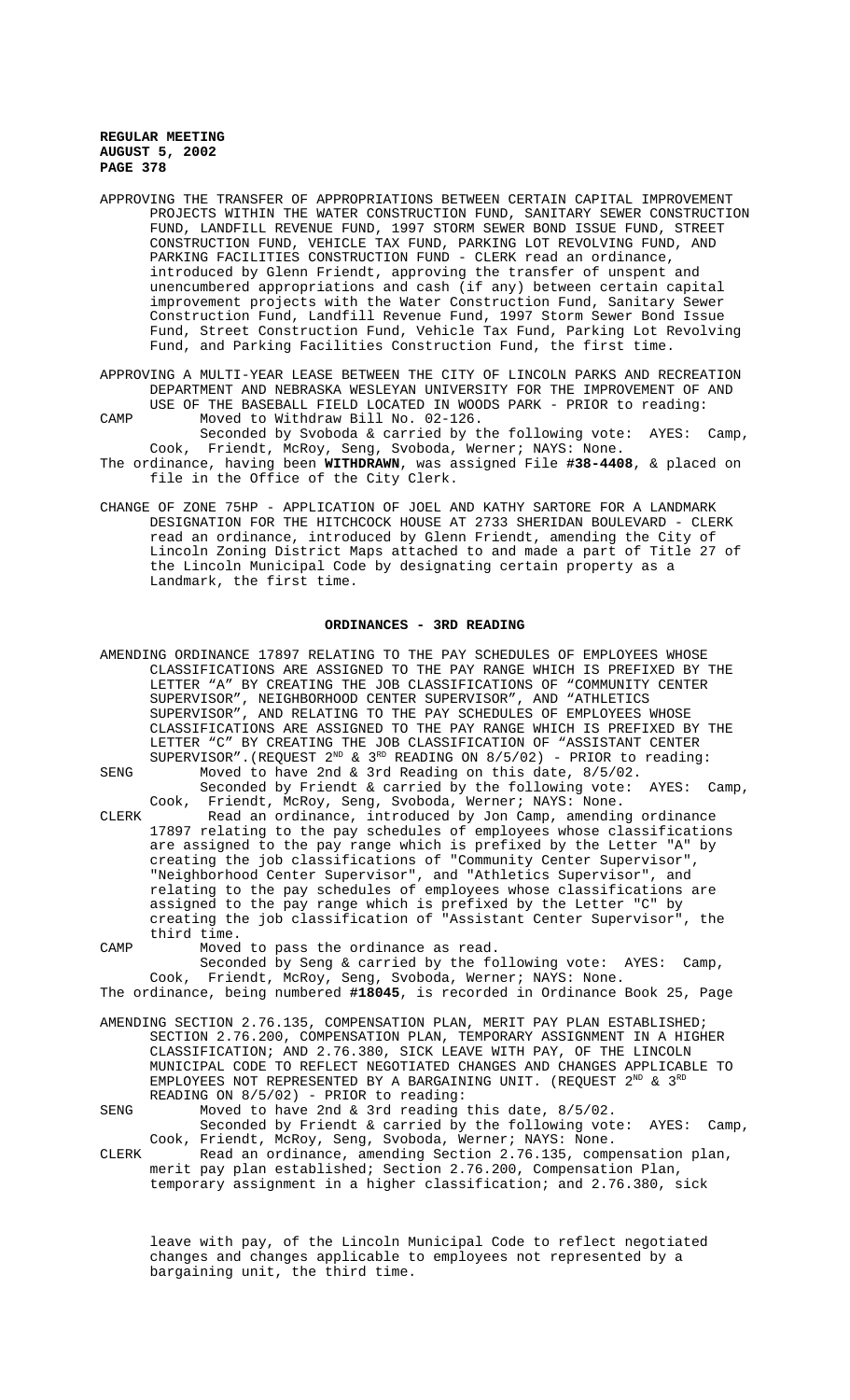- APPROVING THE TRANSFER OF APPROPRIATIONS BETWEEN CERTAIN CAPITAL IMPROVEMENT PROJECTS WITHIN THE WATER CONSTRUCTION FUND, SANITARY SEWER CONSTRUCTION FUND, LANDFILL REVENUE FUND, 1997 STORM SEWER BOND ISSUE FUND, STREET CONSTRUCTION FUND, VEHICLE TAX FUND, PARKING LOT REVOLVING FUND, AND PARKING FACILITIES CONSTRUCTION FUND - CLERK read an ordinance, introduced by Glenn Friendt, approving the transfer of unspent and unencumbered appropriations and cash (if any) between certain capital improvement projects with the Water Construction Fund, Sanitary Sewer Construction Fund, Landfill Revenue Fund, 1997 Storm Sewer Bond Issue Fund, Street Construction Fund, Vehicle Tax Fund, Parking Lot Revolving Fund, and Parking Facilities Construction Fund, the first time.
- APPROVING A MULTI-YEAR LEASE BETWEEN THE CITY OF LINCOLN PARKS AND RECREATION DEPARTMENT AND NEBRASKA WESLEYAN UNIVERSITY FOR THE IMPROVEMENT OF AND USE OF THE BASEBALL FIELD LOCATED IN WOODS PARK - PRIOR to reading: CAMP Moved to Withdraw Bill No. 02-126.
- Seconded by Svoboda & carried by the following vote: AYES: Camp, Cook, Friendt, McRoy, Seng, Svoboda, Werner; NAYS: None. The ordinance, having been **WITHDRAWN**, was assigned File **#38-4408**, & placed on file in the Office of the City Clerk.
- CHANGE OF ZONE 75HP APPLICATION OF JOEL AND KATHY SARTORE FOR A LANDMARK DESIGNATION FOR THE HITCHCOCK HOUSE AT 2733 SHERIDAN BOULEVARD - CLERK read an ordinance, introduced by Glenn Friendt, amending the City of Lincoln Zoning District Maps attached to and made a part of Title 27 of the Lincoln Municipal Code by designating certain property as a Landmark, the first time.

## **ORDINANCES - 3RD READING**

|       | AMENDING ORDINANCE 17897 RELATING TO THE PAY SCHEDULES OF EMPLOYEES WHOSE        |
|-------|----------------------------------------------------------------------------------|
|       | CLASSIFICATIONS ARE ASSIGNED TO THE PAY RANGE WHICH IS PREFIXED BY THE           |
|       | LETTER "A" BY CREATING THE JOB CLASSIFICATIONS OF "COMMUNITY CENTER              |
|       | SUPERVISOR", NEIGHBORHOOD CENTER SUPERVISOR", AND "ATHLETICS                     |
|       | SUPERVISOR", AND RELATING TO THE PAY SCHEDULES OF EMPLOYEES WHOSE                |
|       | CLASSIFICATIONS ARE ASSIGNED TO THE PAY RANGE WHICH IS PREFIXED BY THE           |
|       | LETTER "C" BY CREATING THE JOB CLASSIFICATION OF "ASSISTANT CENTER               |
|       | SUPERVISOR". (REQUEST $2^{ND}$ & $3^{RD}$ READING ON 8/5/02) - PRIOR to reading: |
| SENG  | Moved to have 2nd & 3rd Reading on this date, 8/5/02.                            |
|       | Seconded by Friendt & carried by the following vote: AYES:<br>Camp,              |
|       | Cook, Friendt, McRoy, Seng, Svoboda, Werner; NAYS: None.                         |
| CLERK | Read an ordinance, introduced by Jon Camp, amending ordinance                    |
|       | 17897 relating to the pay schedules of employees whose classifications           |
|       | are assigned to the pay range which is prefixed by the Letter "A" by             |
|       | creating the job classifications of "Community Center Supervisor",               |
|       | "Neighborhood Center Supervisor", and "Athletics Supervisor", and                |
|       | relating to the pay schedules of employees whose classifications are             |
|       | assigned to the pay range which is prefixed by the Letter "C" by                 |
|       | creating the job classification of "Assistant Center Supervisor", the            |
|       | third time.                                                                      |
| CAMP  | Moved to pass the ordinance as read.                                             |
|       | Seconded by Seng & carried by the following vote: AYES:<br>Camp,                 |
|       | Cook, Friendt, McRoy, Seng, Svoboda, Werner; NAYS: None.                         |
|       | The ordinance, being numbered #18045, is recorded in Ordinance Book 25, Page     |
|       | AMENDING SECTION 2.76.135, COMPENSATION PLAN, MERIT PAY PLAN ESTABLISHED;        |
|       | SECTION 2.76.200, COMPENSATION PLAN, TEMPORARY ASSIGNMENT IN A HIGHER            |
|       | CLASSIFICATION; AND 2.76.380, SICK LEAVE WITH PAY, OF THE LINCOLN                |
|       | MUNICIPAL CODE TO REFLECT NEGOTIATED CHANGES AND CHANGES APPLICABLE TO           |
|       | EMPLOYEES NOT REPRESENTED BY A BARGAINING UNIT. (REQUEST $2^{ND}$ & $3^{RD}$     |
|       | READING ON 8/5/02) - PRIOR to reading:                                           |
| SENG  | Moved to have 2nd & 3rd reading this date, $8/5/02$ .                            |
|       | Seconded by Friendt & carried by the following vote: AYES:<br>$Camp$ ,           |
|       | Cook, Friendt, McRoy, Seng, Svoboda, Werner; NAYS: None.                         |
| CLERK | Read an ordinance, amending Section 2.76.135, compensation plan,                 |
|       | merit pay plan established; Section 2.76.200, Compensation Plan,                 |

leave with pay, of the Lincoln Municipal Code to reflect negotiated changes and changes applicable to employees not represented by a bargaining unit, the third time.

temporary assignment in a higher classification; and 2.76.380, sick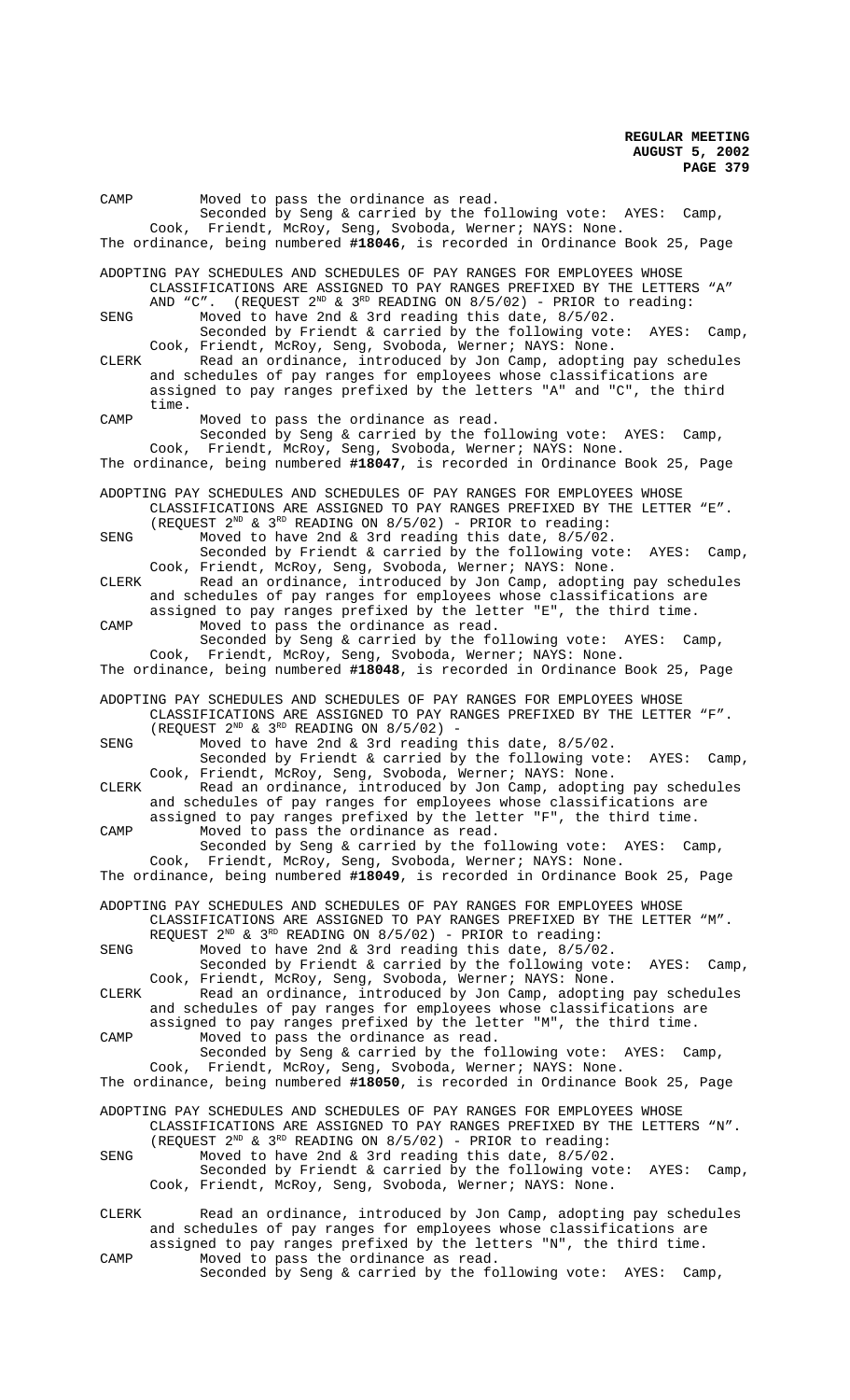| CAMP  |       | Moved to pass the ordinance as read.<br>Seconded by Seng & carried by the following vote: AYES: Camp,                                                                                                                                                                         |
|-------|-------|-------------------------------------------------------------------------------------------------------------------------------------------------------------------------------------------------------------------------------------------------------------------------------|
|       |       | Cook, Friendt, McRoy, Seng, Svoboda, Werner; NAYS: None.<br>The ordinance, being numbered #18046, is recorded in Ordinance Book 25, Page                                                                                                                                      |
|       |       | ADOPTING PAY SCHEDULES AND SCHEDULES OF PAY RANGES FOR EMPLOYEES WHOSE<br>CLASSIFICATIONS ARE ASSIGNED TO PAY RANGES PREFIXED BY THE LETTERS<br>"A"                                                                                                                           |
| SENG  |       | AND "C". (REQUEST $2^{ND}$ & $3^{RD}$ READING ON $8/5/02$ ) - PRIOR to reading:<br>Moved to have 2nd & 3rd reading this date, 8/5/02.<br>Seconded by Friendt & carried by the following vote:<br>AYES:<br>Camp,                                                               |
| CLERK |       | Cook, Friendt, McRoy, Seng, Svoboda, Werner; NAYS: None.<br>Read an ordinance, introduced by Jon Camp, adopting pay schedules<br>and schedules of pay ranges for employees whose classifications are<br>assigned to pay ranges prefixed by the letters "A" and "C", the third |
| CAMP  | time. | Moved to pass the ordinance as read.<br>Seconded by Seng & carried by the following vote: AYES: Camp,<br>Cook, Friendt, McRoy, Seng, Svoboda, Werner; NAYS: None.                                                                                                             |
|       |       | The ordinance, being numbered #18047, is recorded in Ordinance Book 25, Page                                                                                                                                                                                                  |
|       |       | ADOPTING PAY SCHEDULES AND SCHEDULES OF PAY RANGES FOR EMPLOYEES WHOSE<br>CLASSIFICATIONS ARE ASSIGNED TO PAY RANGES PREFIXED BY THE LETTER "E".<br>(REQUEST $2^{ND}$ & $3^{RD}$ READING ON $8/5/02$ ) - PRIOR to reading:                                                    |
| SENG  |       | Moved to have 2nd & 3rd reading this date, 8/5/02.<br>Seconded by Friendt & carried by the following vote:<br>AYES:<br>Camp,<br>Cook, Friendt, McRoy, Seng, Svoboda, Werner; NAYS: None.                                                                                      |
| CLERK |       | Read an ordinance, introduced by Jon Camp, adopting pay schedules<br>and schedules of pay ranges for employees whose classifications are<br>assigned to pay ranges prefixed by the letter "E", the third time.                                                                |
| CAMP  |       | Moved to pass the ordinance as read.<br>Seconded by Seng & carried by the following vote: AYES:<br>Camp,<br>Cook, Friendt, McRoy, Seng, Svoboda, Werner; NAYS: None.                                                                                                          |
|       |       | The ordinance, being numbered #18048, is recorded in Ordinance Book 25, Page                                                                                                                                                                                                  |
|       |       | ADOPTING PAY SCHEDULES AND SCHEDULES OF PAY RANGES FOR EMPLOYEES WHOSE<br>CLASSIFICATIONS ARE ASSIGNED TO PAY RANGES PREFIXED BY THE LETTER "F".<br>(REQUEST $2^{ND}$ & $3^{RD}$ READING ON $8/5/02$ ) -                                                                      |
| SENG  |       | Moved to have 2nd & 3rd reading this date, 8/5/02.<br>Seconded by Friendt & carried by the following vote:<br>AYES:<br>Camp,<br>Cook, Friendt, McRoy, Seng, Svoboda, Werner; NAYS: None.                                                                                      |
| CLERK |       | Read an ordinance, introduced by Jon Camp, adopting pay schedules<br>and schedules of pay ranges for employees whose classifications are<br>assigned to pay ranges prefixed by the letter "F", the third time.                                                                |
| CAMP  |       | Moved to pass the ordinance as read.<br>Seconded by Seng & carried by the following vote: AYES: Camp,<br>Cook, Friendt, McRoy, Seng, Svoboda, Werner; NAYS: None.                                                                                                             |
|       |       | The ordinance, being numbered #18049, is recorded in Ordinance Book 25, Page                                                                                                                                                                                                  |
|       |       | ADOPTING PAY SCHEDULES AND SCHEDULES OF PAY RANGES FOR EMPLOYEES WHOSE<br>CLASSIFICATIONS ARE ASSIGNED TO PAY RANGES PREFIXED BY THE LETTER "M".<br>REQUEST $2^{ND}$ & $3^{RD}$ READING ON 8/5/02) - PRIOR to reading:                                                        |
| SENG  |       | Moved to have 2nd & 3rd reading this date, 8/5/02.<br>Seconded by Friendt & carried by the following vote:<br>AYES:<br>$Camp$ ,<br>Cook, Friendt, McRoy, Seng, Svoboda, Werner; NAYS: None.                                                                                   |
| CLERK |       | Read an ordinance, introduced by Jon Camp, adopting pay schedules<br>and schedules of pay ranges for employees whose classifications are<br>assigned to pay ranges prefixed by the letter "M", the third time.                                                                |
| CAMP  |       | Moved to pass the ordinance as read.<br>Seconded by Seng & carried by the following vote: AYES: Camp,<br>Cook, Friendt, McRoy, Seng, Svoboda, Werner; NAYS: None.                                                                                                             |
|       |       | The ordinance, being numbered #18050, is recorded in Ordinance Book 25, Page                                                                                                                                                                                                  |
|       |       | ADOPTING PAY SCHEDULES AND SCHEDULES OF PAY RANGES FOR EMPLOYEES WHOSE<br>CLASSIFICATIONS ARE ASSIGNED TO PAY RANGES PREFIXED BY THE LETTERS "N".<br>(REQUEST $2^{ND}$ & $3^{RD}$ READING ON $8/5/02$ ) - PRIOR to reading:                                                   |
| SENG  |       | Moved to have 2nd & 3rd reading this date, 8/5/02.<br>Seconded by Friendt & carried by the following vote: AYES:<br>Camp,<br>Cook, Friendt, McRoy, Seng, Svoboda, Werner; NAYS: None.                                                                                         |
| CLERK |       | Read an ordinance, introduced by Jon Camp, adopting pay schedules<br>and schedules of pay ranges for employees whose classifications are                                                                                                                                      |
| CAMP  |       | assigned to pay ranges prefixed by the letters "N", the third time.<br>Moved to pass the ordinance as read.                                                                                                                                                                   |

Seconded by Seng & carried by the following vote: AYES: Camp,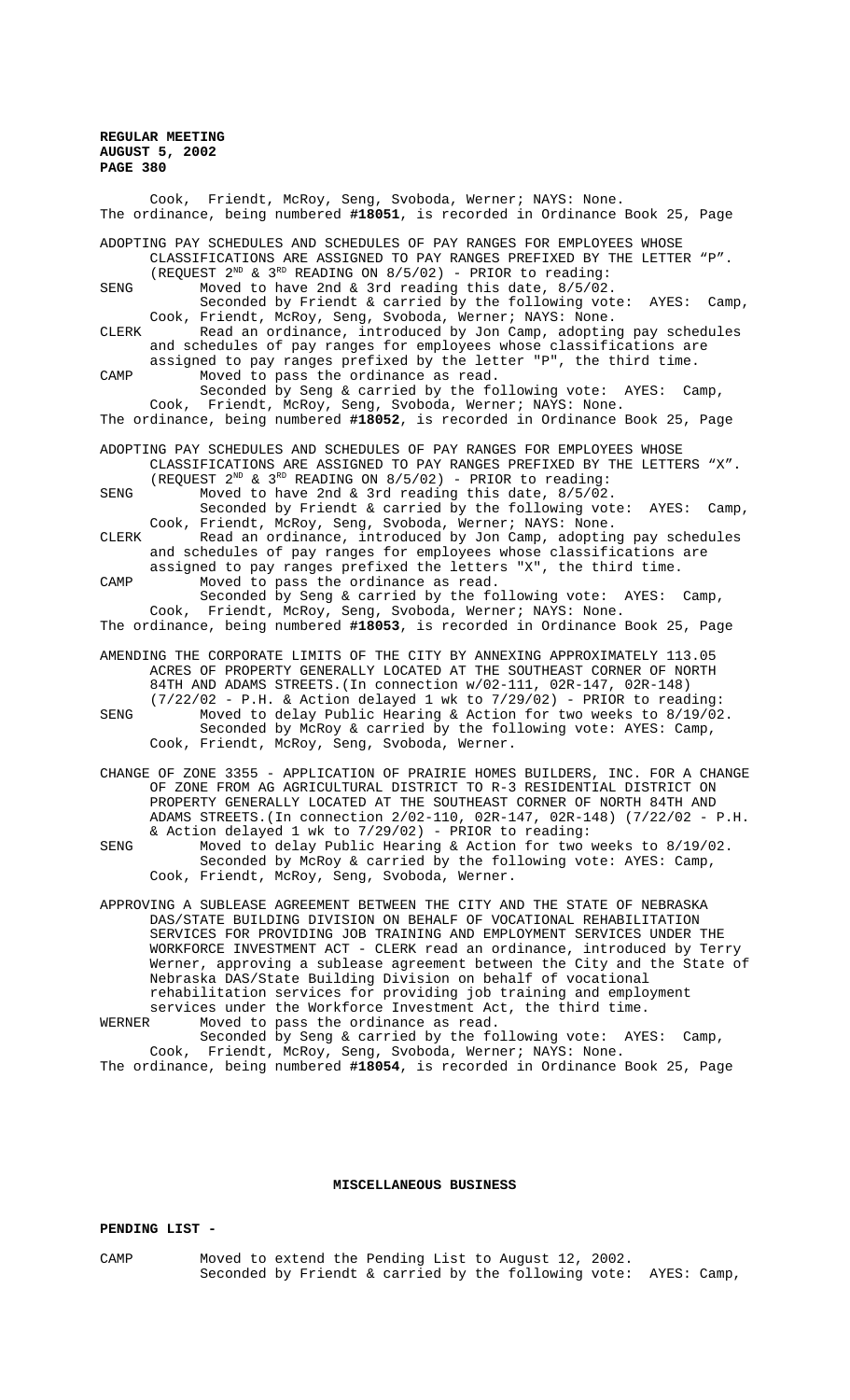| Cook, Friendt, McRoy, Seng, Svoboda, Werner; NAYS: None.<br>The ordinance, being numbered #18051, is recorded in Ordinance Book 25, Page                                                                                                                                                                                                                                                                                                                                                                                                                                             |
|--------------------------------------------------------------------------------------------------------------------------------------------------------------------------------------------------------------------------------------------------------------------------------------------------------------------------------------------------------------------------------------------------------------------------------------------------------------------------------------------------------------------------------------------------------------------------------------|
| ADOPTING PAY SCHEDULES AND SCHEDULES OF PAY RANGES FOR EMPLOYEES WHOSE<br>CLASSIFICATIONS ARE ASSIGNED TO PAY RANGES PREFIXED BY THE LETTER "P".<br>(REQUEST $2^{ND}$ & $3^{RD}$ READING ON 8/5/02) - PRIOR to reading:                                                                                                                                                                                                                                                                                                                                                              |
| Moved to have 2nd & 3rd reading this date, 8/5/02.<br>SENG<br>Seconded by Friendt & carried by the following vote:<br>AYES:<br>Camp,                                                                                                                                                                                                                                                                                                                                                                                                                                                 |
| Cook, Friendt, McRoy, Seng, Svoboda, Werner; NAYS: None.<br>Read an ordinance, introduced by Jon Camp, adopting pay schedules<br>CLERK<br>and schedules of pay ranges for employees whose classifications are                                                                                                                                                                                                                                                                                                                                                                        |
| assigned to pay ranges prefixed by the letter "P", the third time.<br>Moved to pass the ordinance as read.<br>CAMP<br>Seconded by Seng & carried by the following vote: AYES:<br>Camp,                                                                                                                                                                                                                                                                                                                                                                                               |
| Cook, Friendt, McRoy, Seng, Svoboda, Werner; NAYS: None.<br>The ordinance, being numbered #18052, is recorded in Ordinance Book 25, Page                                                                                                                                                                                                                                                                                                                                                                                                                                             |
| ADOPTING PAY SCHEDULES AND SCHEDULES OF PAY RANGES FOR EMPLOYEES WHOSE<br>CLASSIFICATIONS ARE ASSIGNED TO PAY RANGES PREFIXED BY THE LETTERS "X".                                                                                                                                                                                                                                                                                                                                                                                                                                    |
| (REQUEST $2^{ND}$ & $3^{RD}$ READING ON $8/5/02$ ) - PRIOR to reading:<br>Moved to have 2nd & 3rd reading this date, 8/5/02.<br>SENG<br>Seconded by Friendt & carried by the following vote:<br>$Camp$ ,<br>AYES:                                                                                                                                                                                                                                                                                                                                                                    |
| Cook, Friendt, McRoy, Seng, Svoboda, Werner; NAYS: None.<br>Read an ordinance, introduced by Jon Camp, adopting pay schedules<br>CLERK<br>and schedules of pay ranges for employees whose classifications are                                                                                                                                                                                                                                                                                                                                                                        |
| assigned to pay ranges prefixed the letters "X", the third time.<br>Moved to pass the ordinance as read.<br>CAMP<br>Seconded by Seng & carried by the following vote: AYES:<br>$Camp$ ,                                                                                                                                                                                                                                                                                                                                                                                              |
| Cook, Friendt, McRoy, Seng, Svoboda, Werner; NAYS: None.<br>The ordinance, being numbered #18053, is recorded in Ordinance Book 25, Page                                                                                                                                                                                                                                                                                                                                                                                                                                             |
| AMENDING THE CORPORATE LIMITS OF THE CITY BY ANNEXING APPROXIMATELY 113.05<br>ACRES OF PROPERTY GENERALLY LOCATED AT THE SOUTHEAST CORNER OF NORTH<br>84TH AND ADAMS STREETS. (In connection w/02-111, 02R-147, 02R-148)                                                                                                                                                                                                                                                                                                                                                             |
| $(7/22/02$ - P.H. & Action delayed 1 wk to $7/29/02$ ) - PRIOR to reading:<br>SENG<br>Moved to delay Public Hearing & Action for two weeks to $8/19/02$ .<br>Seconded by McRoy & carried by the following vote: AYES: Camp,<br>Cook, Friendt, McRoy, Seng, Svoboda, Werner.                                                                                                                                                                                                                                                                                                          |
| CHANGE OF ZONE 3355 - APPLICATION OF PRAIRIE HOMES BUILDERS, INC. FOR A CHANGE<br>OF ZONE FROM AG AGRICULTURAL DISTRICT TO R-3 RESIDENTIAL DISTRICT ON<br>PROPERTY GENERALLY LOCATED AT THE SOUTHEAST CORNER OF NORTH 84TH AND<br>ADAMS STREETS. (In connection 2/02-110, 02R-147, 02R-148) (7/22/02 - P.H.<br>& Action delayed 1 wk to 7/29/02) - PRIOR to reading:                                                                                                                                                                                                                 |
| Moved to delay Public Hearing & Action for two weeks to 8/19/02.<br>SENG<br>Seconded by McRoy & carried by the following vote: AYES: Camp,<br>Cook, Friendt, McRoy, Seng, Svoboda, Werner.                                                                                                                                                                                                                                                                                                                                                                                           |
| APPROVING A SUBLEASE AGREEMENT BETWEEN THE CITY AND THE STATE OF NEBRASKA<br>DAS/STATE BUILDING DIVISION ON BEHALF OF VOCATIONAL REHABILITATION<br>SERVICES FOR PROVIDING JOB TRAINING AND EMPLOYMENT SERVICES UNDER THE<br>WORKFORCE INVESTMENT ACT - CLERK read an ordinance, introduced by Terry<br>Werner, approving a sublease agreement between the City and the State of<br>Nebraska DAS/State Building Division on behalf of vocational<br>rehabilitation services for providing job training and employment<br>services under the Workforce Investment Act, the third time. |
| Moved to pass the ordinance as read.<br>WERNER                                                                                                                                                                                                                                                                                                                                                                                                                                                                                                                                       |

Seconded by Seng & carried by the following vote: AYES: Camp, Cook, Friendt, McRoy, Seng, Svoboda, Werner; NAYS: None. The ordinance, being numbered **#18054**, is recorded in Ordinance Book 25, Page

## **MISCELLANEOUS BUSINESS**

# **PENDING LIST -**

CAMP Moved to extend the Pending List to August 12, 2002. Seconded by Friendt & carried by the following vote: AYES: Camp,